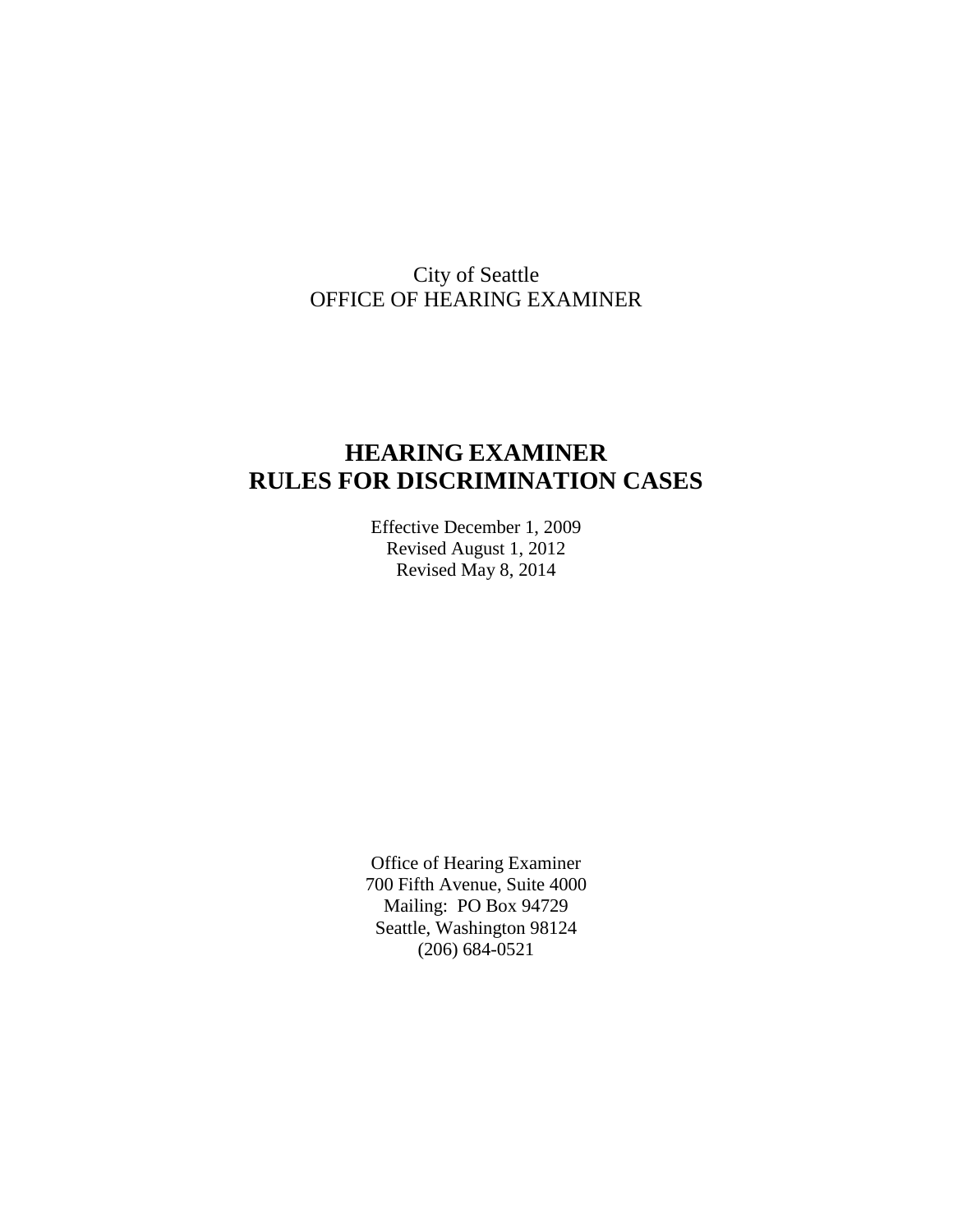# City of Seattle OFFICE OF HEARING EXAMINER

# **HEARING EXAMINER RULES FOR DISCRIMINATION CASES**

Effective December 1, 2009 Revised August 1, 2012 Revised May 8, 2014

Office of Hearing Examiner 700 Fifth Avenue, Suite 4000 Mailing: PO Box 94729 Seattle, Washington 98124 (206) 684-0521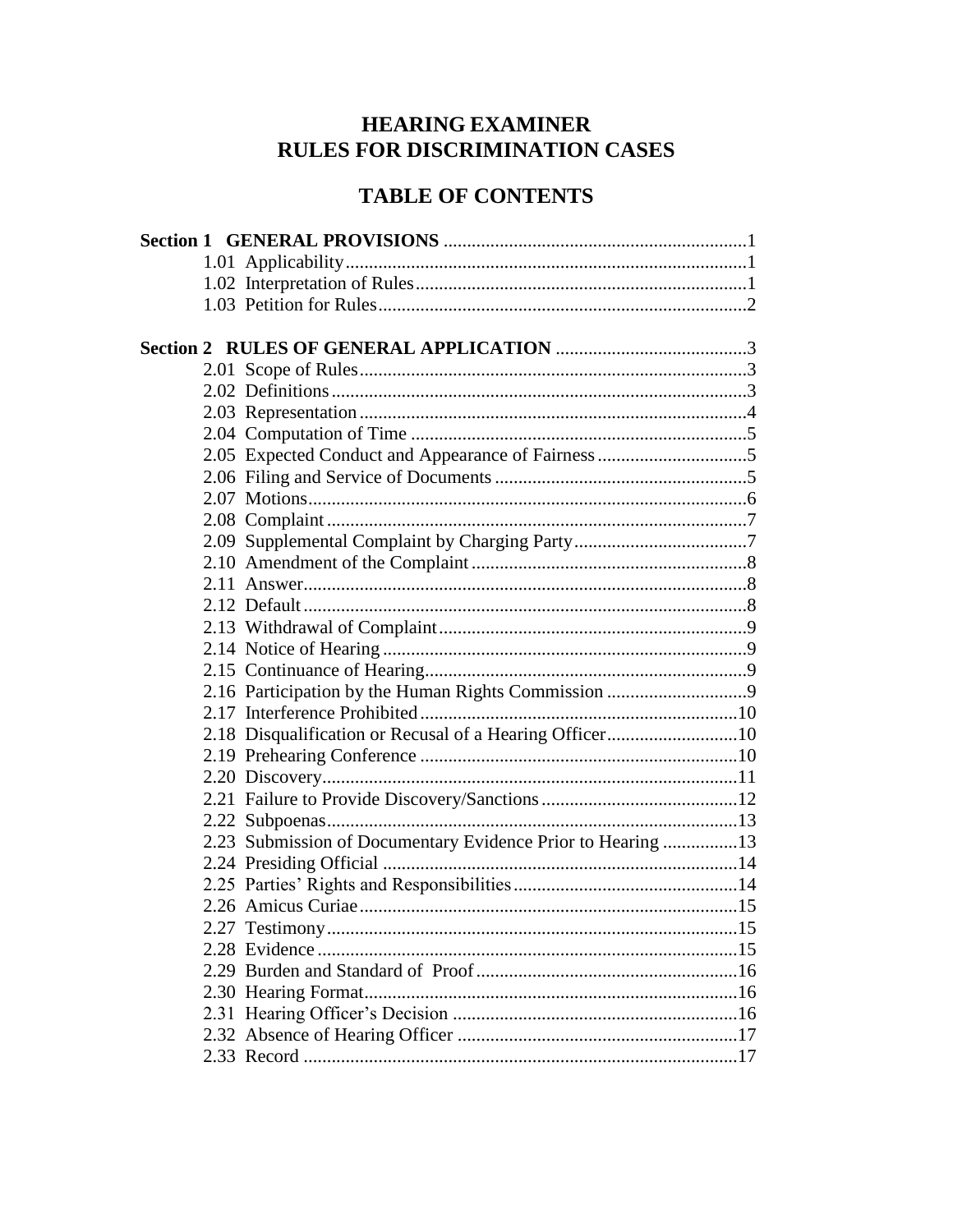# **HEARING EXAMINER** RULES FOR DISCRIMINATION CASES

# **TABLE OF CONTENTS**

|  | 2.05 Expected Conduct and Appearance of Fairness 5          |  |
|--|-------------------------------------------------------------|--|
|  |                                                             |  |
|  |                                                             |  |
|  |                                                             |  |
|  |                                                             |  |
|  |                                                             |  |
|  |                                                             |  |
|  |                                                             |  |
|  |                                                             |  |
|  |                                                             |  |
|  |                                                             |  |
|  |                                                             |  |
|  |                                                             |  |
|  | 2.18 Disqualification or Recusal of a Hearing Officer10     |  |
|  |                                                             |  |
|  |                                                             |  |
|  |                                                             |  |
|  |                                                             |  |
|  | 2.23 Submission of Documentary Evidence Prior to Hearing 13 |  |
|  |                                                             |  |
|  |                                                             |  |
|  |                                                             |  |
|  |                                                             |  |
|  |                                                             |  |
|  |                                                             |  |
|  |                                                             |  |
|  |                                                             |  |
|  |                                                             |  |
|  |                                                             |  |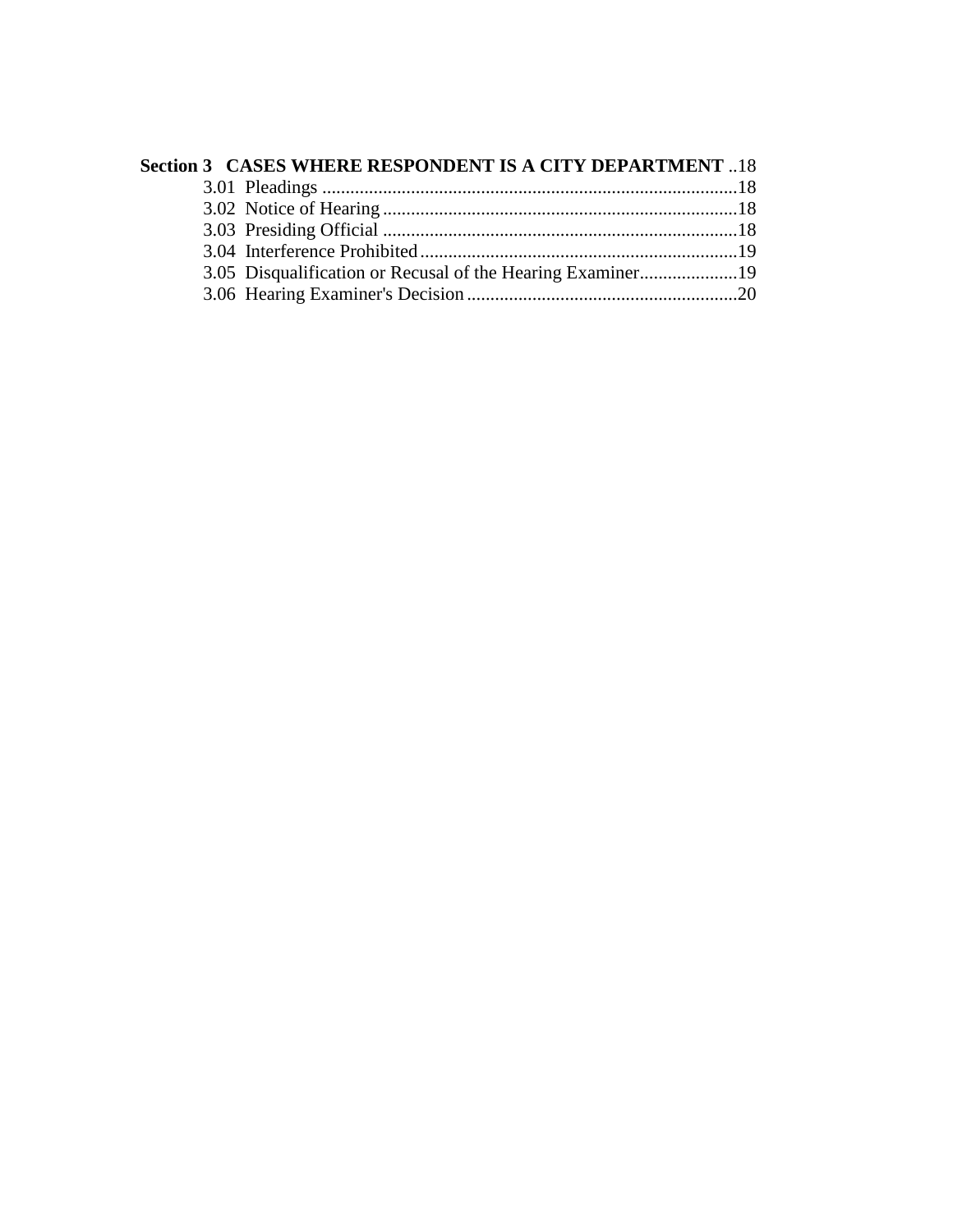| Section 3 CASES WHERE RESPONDENT IS A CITY DEPARTMENT 18   |  |
|------------------------------------------------------------|--|
|                                                            |  |
|                                                            |  |
|                                                            |  |
|                                                            |  |
| 3.05 Disqualification or Recusal of the Hearing Examiner19 |  |
|                                                            |  |
|                                                            |  |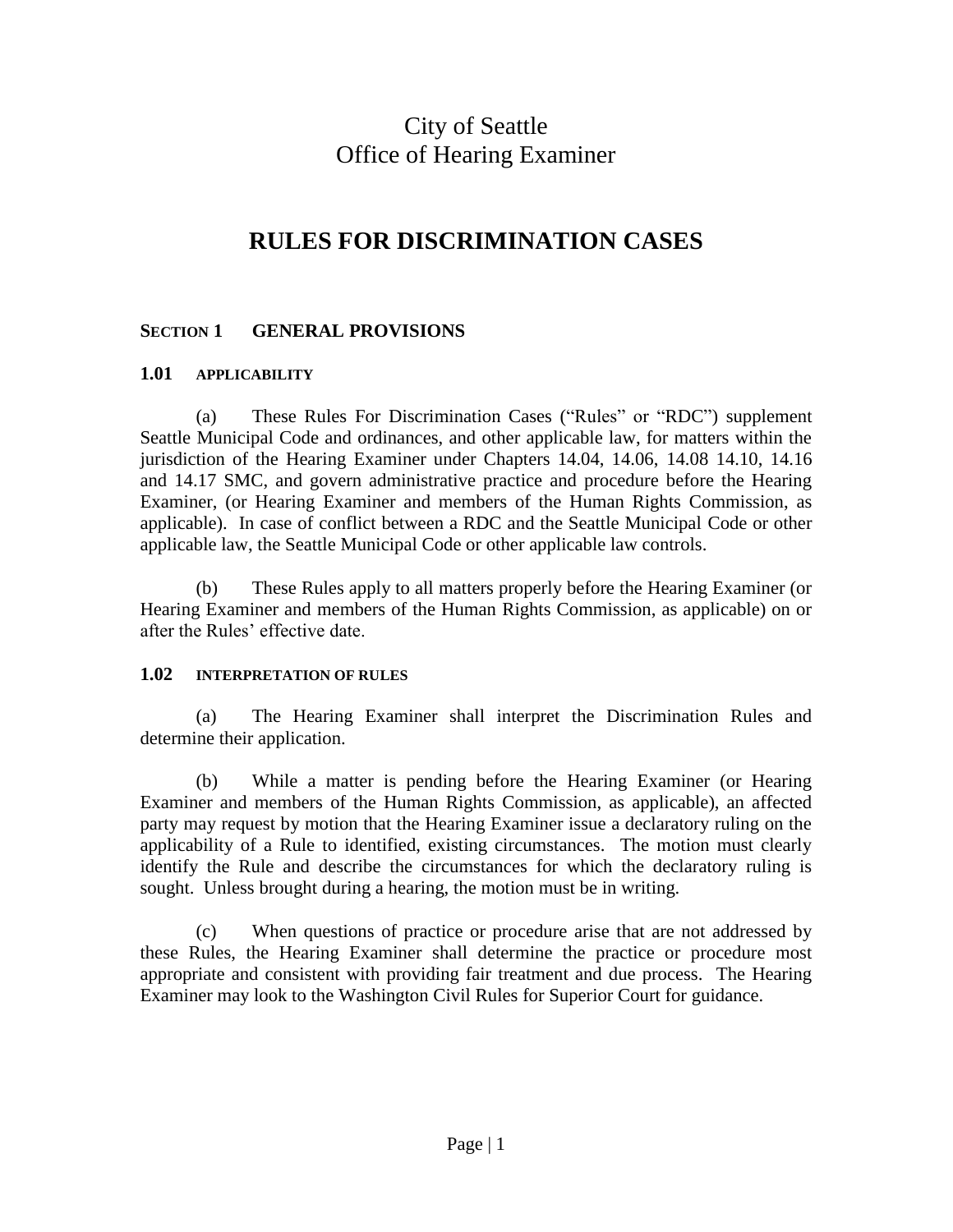# City of Seattle Office of Hearing Examiner

# **RULES FOR DISCRIMINATION CASES**

# **SECTION 1 GENERAL PROVISIONS**

#### **1.01 APPLICABILITY**

(a) These Rules For Discrimination Cases ("Rules" or "RDC") supplement Seattle Municipal Code and ordinances, and other applicable law, for matters within the jurisdiction of the Hearing Examiner under Chapters 14.04, 14.06, 14.08 14.10, 14.16 and 14.17 SMC, and govern administrative practice and procedure before the Hearing Examiner, (or Hearing Examiner and members of the Human Rights Commission, as applicable). In case of conflict between a RDC and the Seattle Municipal Code or other applicable law, the Seattle Municipal Code or other applicable law controls.

(b) These Rules apply to all matters properly before the Hearing Examiner (or Hearing Examiner and members of the Human Rights Commission, as applicable) on or after the Rules' effective date.

#### **1.02 INTERPRETATION OF RULES**

(a) The Hearing Examiner shall interpret the Discrimination Rules and determine their application.

(b) While a matter is pending before the Hearing Examiner (or Hearing Examiner and members of the Human Rights Commission, as applicable), an affected party may request by motion that the Hearing Examiner issue a declaratory ruling on the applicability of a Rule to identified, existing circumstances. The motion must clearly identify the Rule and describe the circumstances for which the declaratory ruling is sought. Unless brought during a hearing, the motion must be in writing.

(c) When questions of practice or procedure arise that are not addressed by these Rules, the Hearing Examiner shall determine the practice or procedure most appropriate and consistent with providing fair treatment and due process. The Hearing Examiner may look to the Washington Civil Rules for Superior Court for guidance.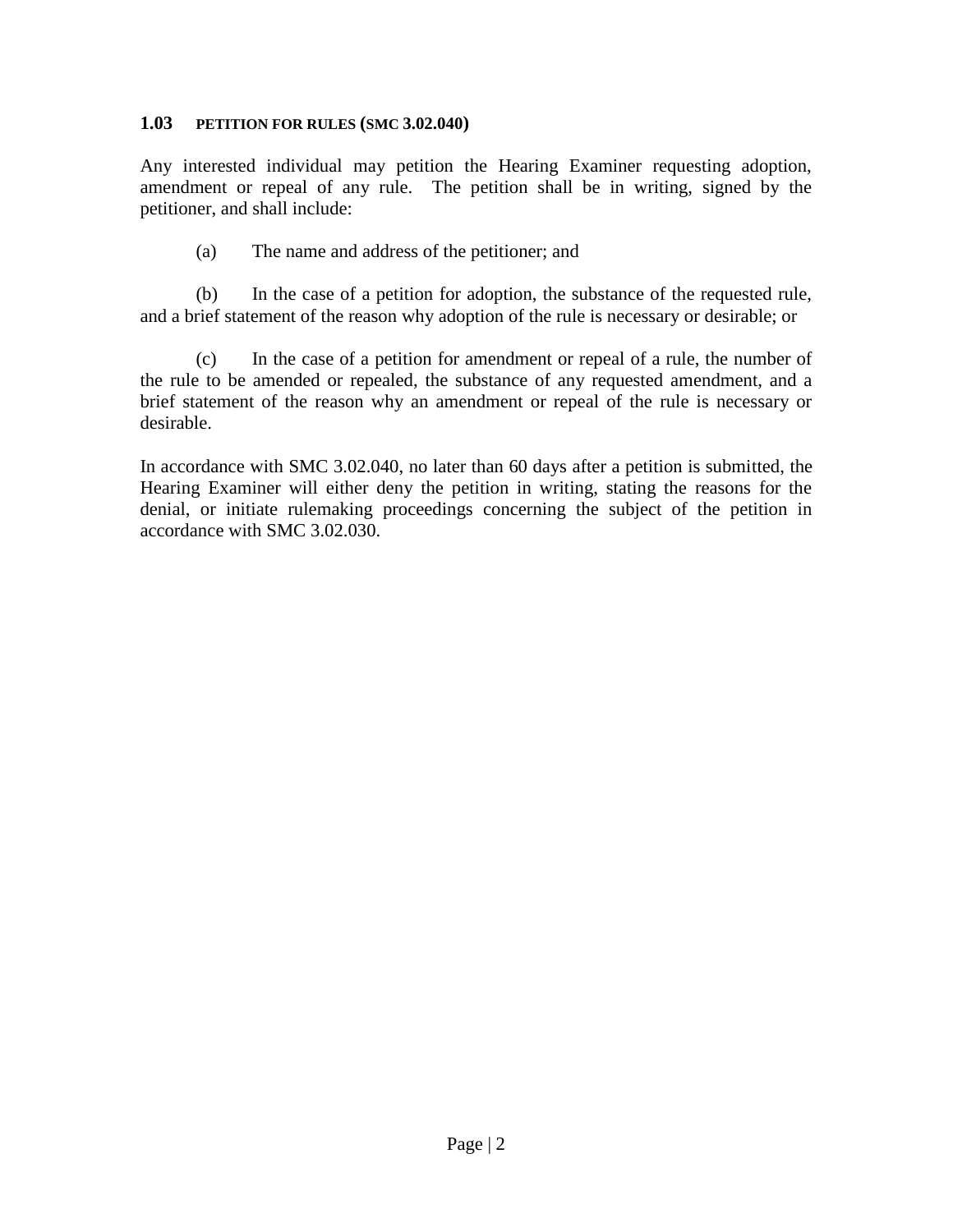#### **1.03 PETITION FOR RULES (SMC 3.02.040)**

Any interested individual may petition the Hearing Examiner requesting adoption, amendment or repeal of any rule. The petition shall be in writing, signed by the petitioner, and shall include:

(a) The name and address of the petitioner; and

(b) In the case of a petition for adoption, the substance of the requested rule, and a brief statement of the reason why adoption of the rule is necessary or desirable; or

(c) In the case of a petition for amendment or repeal of a rule, the number of the rule to be amended or repealed, the substance of any requested amendment, and a brief statement of the reason why an amendment or repeal of the rule is necessary or desirable.

In accordance with SMC 3.02.040, no later than 60 days after a petition is submitted, the Hearing Examiner will either deny the petition in writing, stating the reasons for the denial, or initiate rulemaking proceedings concerning the subject of the petition in accordance with SMC 3.02.030.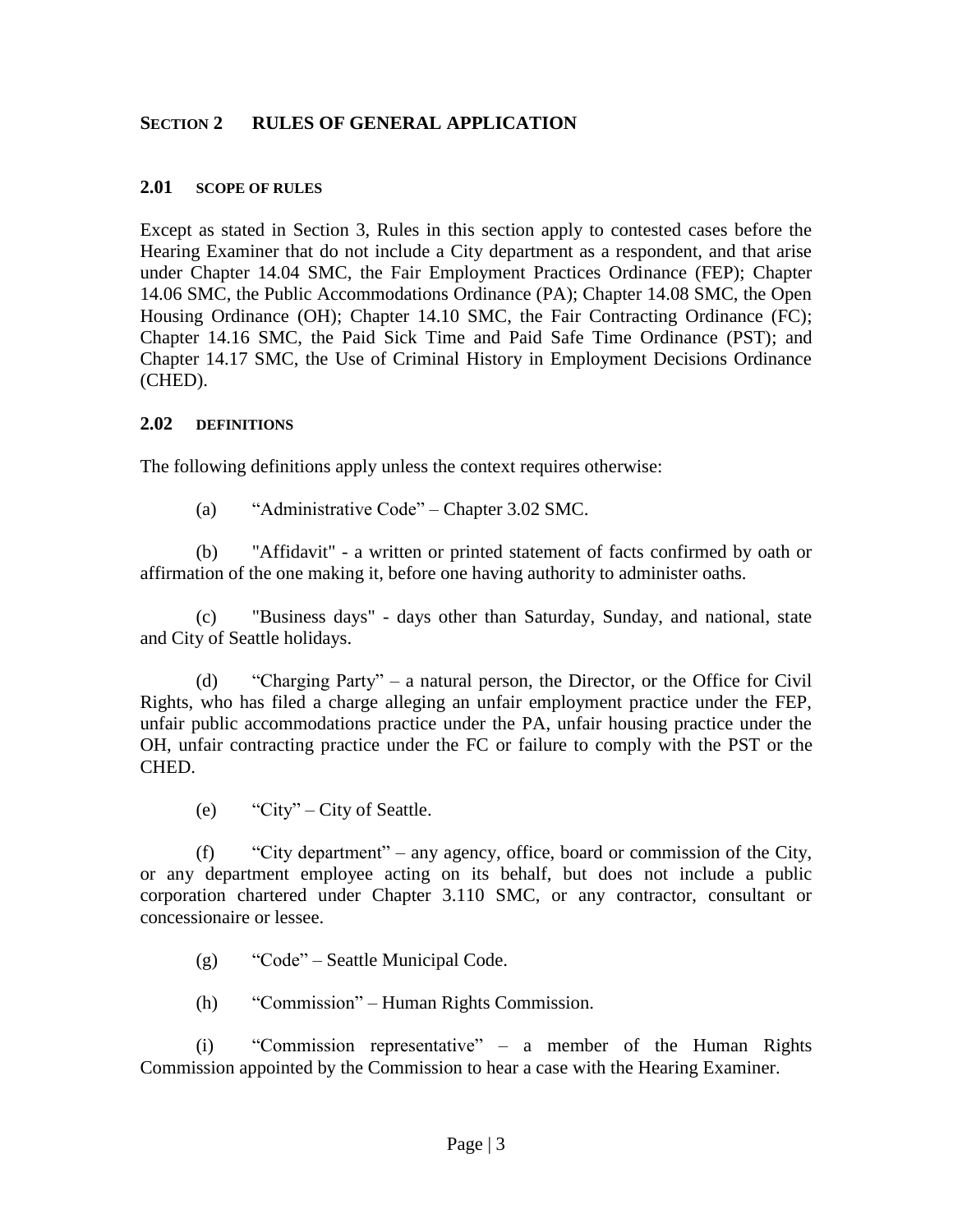### **SECTION 2 RULES OF GENERAL APPLICATION**

#### **2.01 SCOPE OF RULES**

Except as stated in Section 3, Rules in this section apply to contested cases before the Hearing Examiner that do not include a City department as a respondent, and that arise under Chapter 14.04 SMC, the Fair Employment Practices Ordinance (FEP); Chapter 14.06 SMC, the Public Accommodations Ordinance (PA); Chapter 14.08 SMC, the Open Housing Ordinance (OH); Chapter 14.10 SMC, the Fair Contracting Ordinance (FC); Chapter 14.16 SMC, the Paid Sick Time and Paid Safe Time Ordinance (PST); and Chapter 14.17 SMC, the Use of Criminal History in Employment Decisions Ordinance (CHED).

#### **2.02 DEFINITIONS**

The following definitions apply unless the context requires otherwise:

(a) "Administrative Code" – Chapter 3.02 SMC.

(b) "Affidavit" - a written or printed statement of facts confirmed by oath or affirmation of the one making it, before one having authority to administer oaths.

(c) "Business days" - days other than Saturday, Sunday, and national, state and City of Seattle holidays.

 (d) "Charging Party" – a natural person, the Director, or the Office for Civil Rights, who has filed a charge alleging an unfair employment practice under the FEP, unfair public accommodations practice under the PA, unfair housing practice under the OH, unfair contracting practice under the FC or failure to comply with the PST or the CHED.

(e) "City" – City of Seattle.

(f) "City department" – any agency, office, board or commission of the City, or any department employee acting on its behalf, but does not include a public corporation chartered under Chapter 3.110 SMC, or any contractor, consultant or concessionaire or lessee.

- (g) "Code" Seattle Municipal Code.
- (h) "Commission" Human Rights Commission.

(i) "Commission representative" – a member of the Human Rights Commission appointed by the Commission to hear a case with the Hearing Examiner.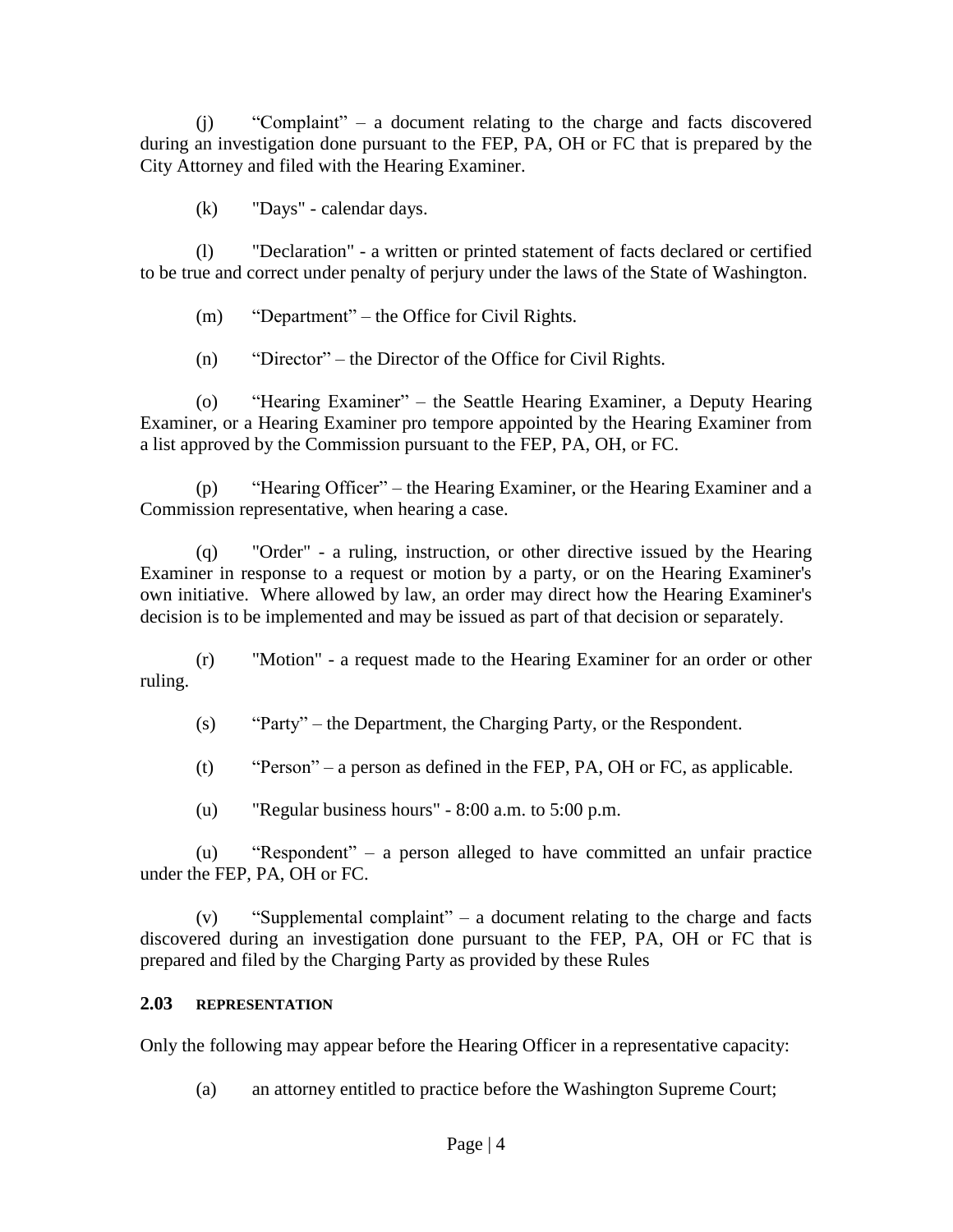(j) "Complaint" – a document relating to the charge and facts discovered during an investigation done pursuant to the FEP, PA, OH or FC that is prepared by the City Attorney and filed with the Hearing Examiner.

(k) "Days" - calendar days.

(l) "Declaration" - a written or printed statement of facts declared or certified to be true and correct under penalty of perjury under the laws of the State of Washington.

(m) "Department" – the Office for Civil Rights.

(n) "Director" – the Director of the Office for Civil Rights.

(o) "Hearing Examiner" – the Seattle Hearing Examiner, a Deputy Hearing Examiner, or a Hearing Examiner pro tempore appointed by the Hearing Examiner from a list approved by the Commission pursuant to the FEP, PA, OH, or FC.

(p) "Hearing Officer" – the Hearing Examiner, or the Hearing Examiner and a Commission representative, when hearing a case.

(q) "Order" - a ruling, instruction, or other directive issued by the Hearing Examiner in response to a request or motion by a party, or on the Hearing Examiner's own initiative. Where allowed by law, an order may direct how the Hearing Examiner's decision is to be implemented and may be issued as part of that decision or separately.

(r) "Motion" - a request made to the Hearing Examiner for an order or other ruling.

(s) "Party" – the Department, the Charging Party, or the Respondent.

(t) "Person" – a person as defined in the FEP, PA, OH or FC, as applicable.

(u) "Regular business hours" - 8:00 a.m. to 5:00 p.m.

(u) "Respondent" – a person alleged to have committed an unfair practice under the FEP, PA, OH or FC.

 $(v)$  "Supplemental complaint" – a document relating to the charge and facts discovered during an investigation done pursuant to the FEP, PA, OH or FC that is prepared and filed by the Charging Party as provided by these Rules

# **2.03 REPRESENTATION**

Only the following may appear before the Hearing Officer in a representative capacity:

(a) an attorney entitled to practice before the Washington Supreme Court;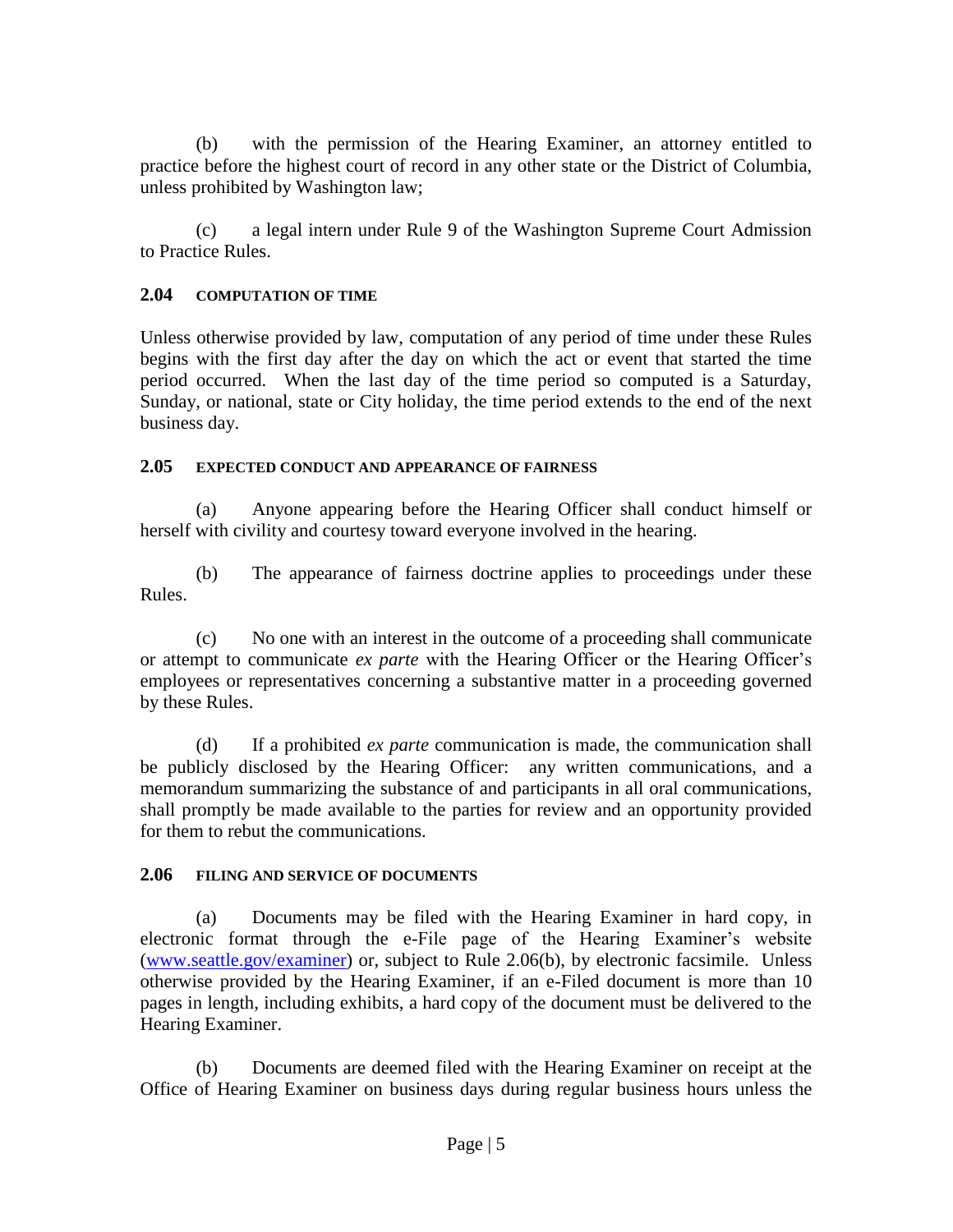(b) with the permission of the Hearing Examiner, an attorney entitled to practice before the highest court of record in any other state or the District of Columbia, unless prohibited by Washington law;

(c) a legal intern under Rule 9 of the Washington Supreme Court Admission to Practice Rules.

### **2.04 COMPUTATION OF TIME**

Unless otherwise provided by law, computation of any period of time under these Rules begins with the first day after the day on which the act or event that started the time period occurred. When the last day of the time period so computed is a Saturday, Sunday, or national, state or City holiday, the time period extends to the end of the next business day.

#### **2.05 EXPECTED CONDUCT AND APPEARANCE OF FAIRNESS**

(a) Anyone appearing before the Hearing Officer shall conduct himself or herself with civility and courtesy toward everyone involved in the hearing.

(b) The appearance of fairness doctrine applies to proceedings under these Rules.

(c) No one with an interest in the outcome of a proceeding shall communicate or attempt to communicate *ex parte* with the Hearing Officer or the Hearing Officer's employees or representatives concerning a substantive matter in a proceeding governed by these Rules.

(d) If a prohibited *ex parte* communication is made, the communication shall be publicly disclosed by the Hearing Officer: any written communications, and a memorandum summarizing the substance of and participants in all oral communications, shall promptly be made available to the parties for review and an opportunity provided for them to rebut the communications.

# **2.06 FILING AND SERVICE OF DOCUMENTS**

(a) Documents may be filed with the Hearing Examiner in hard copy, in electronic format through the e-File page of the Hearing Examiner's website [\(www.seattle.gov/examiner\)](http://www.seattle.gov/examiner) or, subject to Rule 2.06(b), by electronic facsimile. Unless otherwise provided by the Hearing Examiner, if an e-Filed document is more than 10 pages in length, including exhibits, a hard copy of the document must be delivered to the Hearing Examiner.

(b) Documents are deemed filed with the Hearing Examiner on receipt at the Office of Hearing Examiner on business days during regular business hours unless the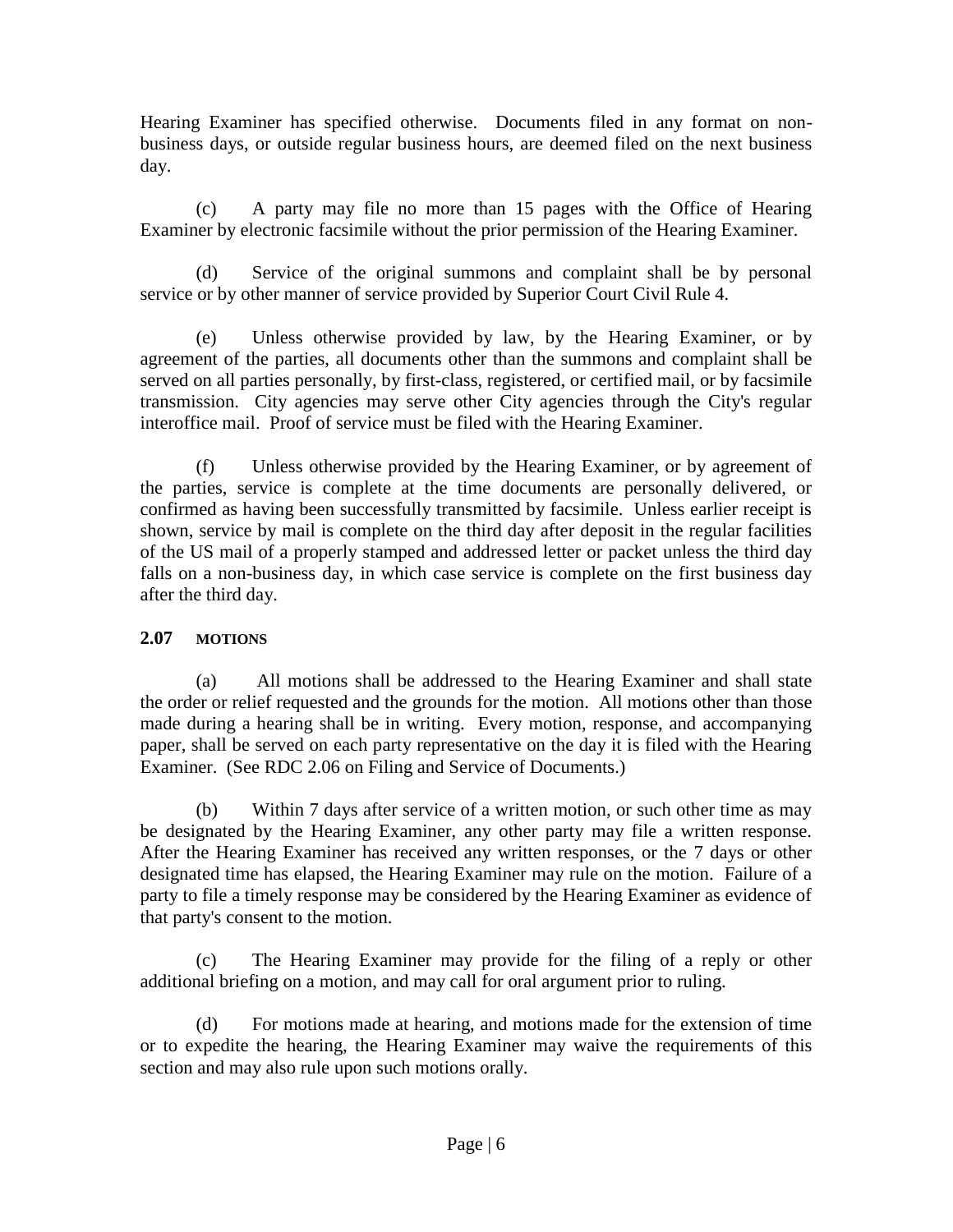Hearing Examiner has specified otherwise. Documents filed in any format on nonbusiness days, or outside regular business hours, are deemed filed on the next business day.

(c) A party may file no more than 15 pages with the Office of Hearing Examiner by electronic facsimile without the prior permission of the Hearing Examiner.

(d) Service of the original summons and complaint shall be by personal service or by other manner of service provided by Superior Court Civil Rule 4.

(e) Unless otherwise provided by law, by the Hearing Examiner, or by agreement of the parties, all documents other than the summons and complaint shall be served on all parties personally, by first-class, registered, or certified mail, or by facsimile transmission. City agencies may serve other City agencies through the City's regular interoffice mail. Proof of service must be filed with the Hearing Examiner.

(f) Unless otherwise provided by the Hearing Examiner, or by agreement of the parties, service is complete at the time documents are personally delivered, or confirmed as having been successfully transmitted by facsimile. Unless earlier receipt is shown, service by mail is complete on the third day after deposit in the regular facilities of the US mail of a properly stamped and addressed letter or packet unless the third day falls on a non-business day, in which case service is complete on the first business day after the third day.

# **2.07 MOTIONS**

(a) All motions shall be addressed to the Hearing Examiner and shall state the order or relief requested and the grounds for the motion. All motions other than those made during a hearing shall be in writing. Every motion, response, and accompanying paper, shall be served on each party representative on the day it is filed with the Hearing Examiner. (See RDC 2.06 on Filing and Service of Documents.)

(b) Within 7 days after service of a written motion, or such other time as may be designated by the Hearing Examiner, any other party may file a written response. After the Hearing Examiner has received any written responses, or the 7 days or other designated time has elapsed, the Hearing Examiner may rule on the motion. Failure of a party to file a timely response may be considered by the Hearing Examiner as evidence of that party's consent to the motion.

(c) The Hearing Examiner may provide for the filing of a reply or other additional briefing on a motion, and may call for oral argument prior to ruling.

(d) For motions made at hearing, and motions made for the extension of time or to expedite the hearing, the Hearing Examiner may waive the requirements of this section and may also rule upon such motions orally.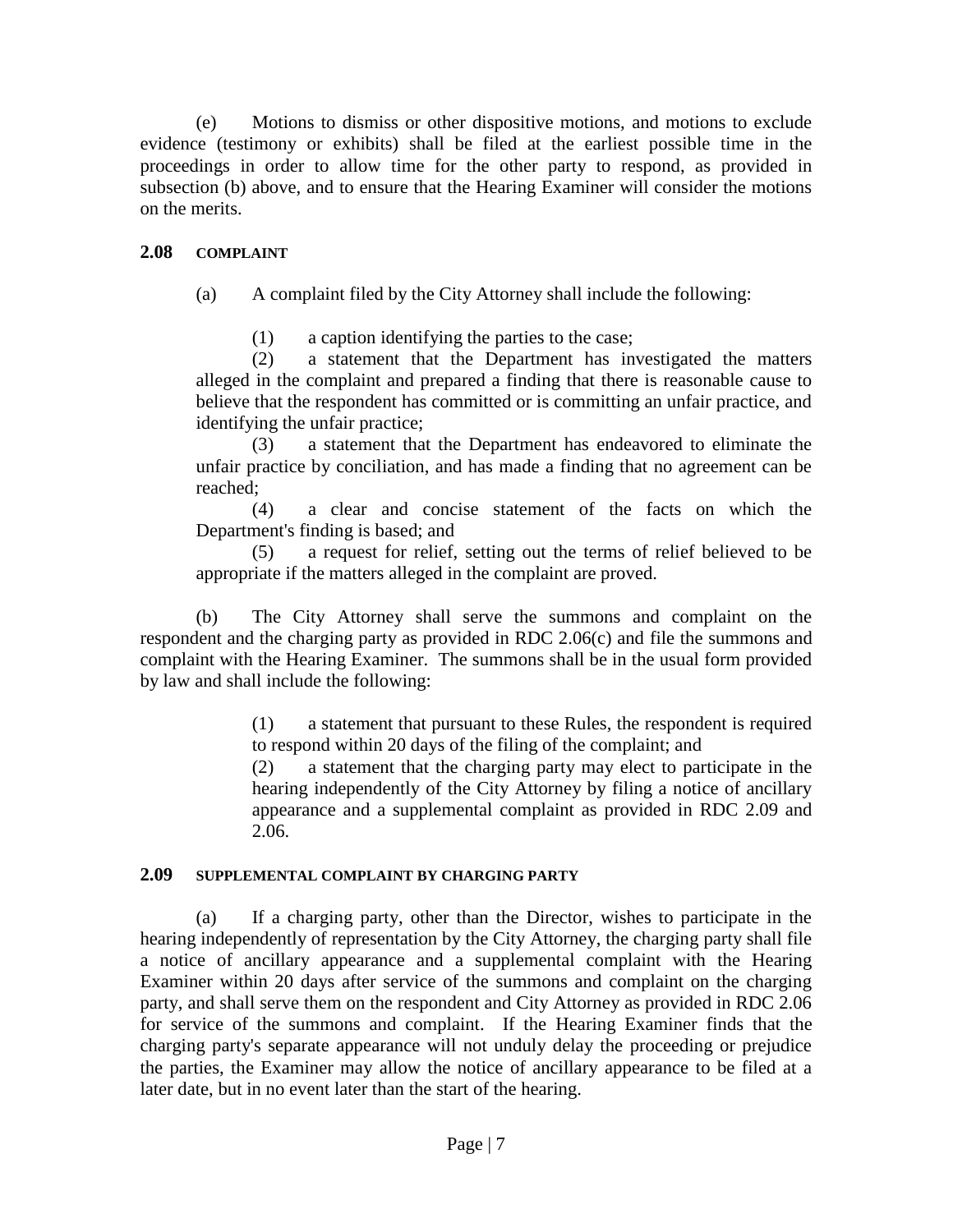(e) Motions to dismiss or other dispositive motions, and motions to exclude evidence (testimony or exhibits) shall be filed at the earliest possible time in the proceedings in order to allow time for the other party to respond, as provided in subsection (b) above, and to ensure that the Hearing Examiner will consider the motions on the merits.

# **2.08 COMPLAINT**

(a) A complaint filed by the City Attorney shall include the following:

(1) a caption identifying the parties to the case;

(2) a statement that the Department has investigated the matters alleged in the complaint and prepared a finding that there is reasonable cause to believe that the respondent has committed or is committing an unfair practice, and identifying the unfair practice;

(3) a statement that the Department has endeavored to eliminate the unfair practice by conciliation, and has made a finding that no agreement can be reached;

(4) a clear and concise statement of the facts on which the Department's finding is based; and

(5) a request for relief, setting out the terms of relief believed to be appropriate if the matters alleged in the complaint are proved.

(b) The City Attorney shall serve the summons and complaint on the respondent and the charging party as provided in RDC 2.06(c) and file the summons and complaint with the Hearing Examiner. The summons shall be in the usual form provided by law and shall include the following:

> (1) a statement that pursuant to these Rules, the respondent is required to respond within 20 days of the filing of the complaint; and

> (2) a statement that the charging party may elect to participate in the hearing independently of the City Attorney by filing a notice of ancillary appearance and a supplemental complaint as provided in RDC 2.09 and 2.06.

#### **2.09 SUPPLEMENTAL COMPLAINT BY CHARGING PARTY**

(a) If a charging party, other than the Director, wishes to participate in the hearing independently of representation by the City Attorney, the charging party shall file a notice of ancillary appearance and a supplemental complaint with the Hearing Examiner within 20 days after service of the summons and complaint on the charging party, and shall serve them on the respondent and City Attorney as provided in RDC 2.06 for service of the summons and complaint. If the Hearing Examiner finds that the charging party's separate appearance will not unduly delay the proceeding or prejudice the parties, the Examiner may allow the notice of ancillary appearance to be filed at a later date, but in no event later than the start of the hearing.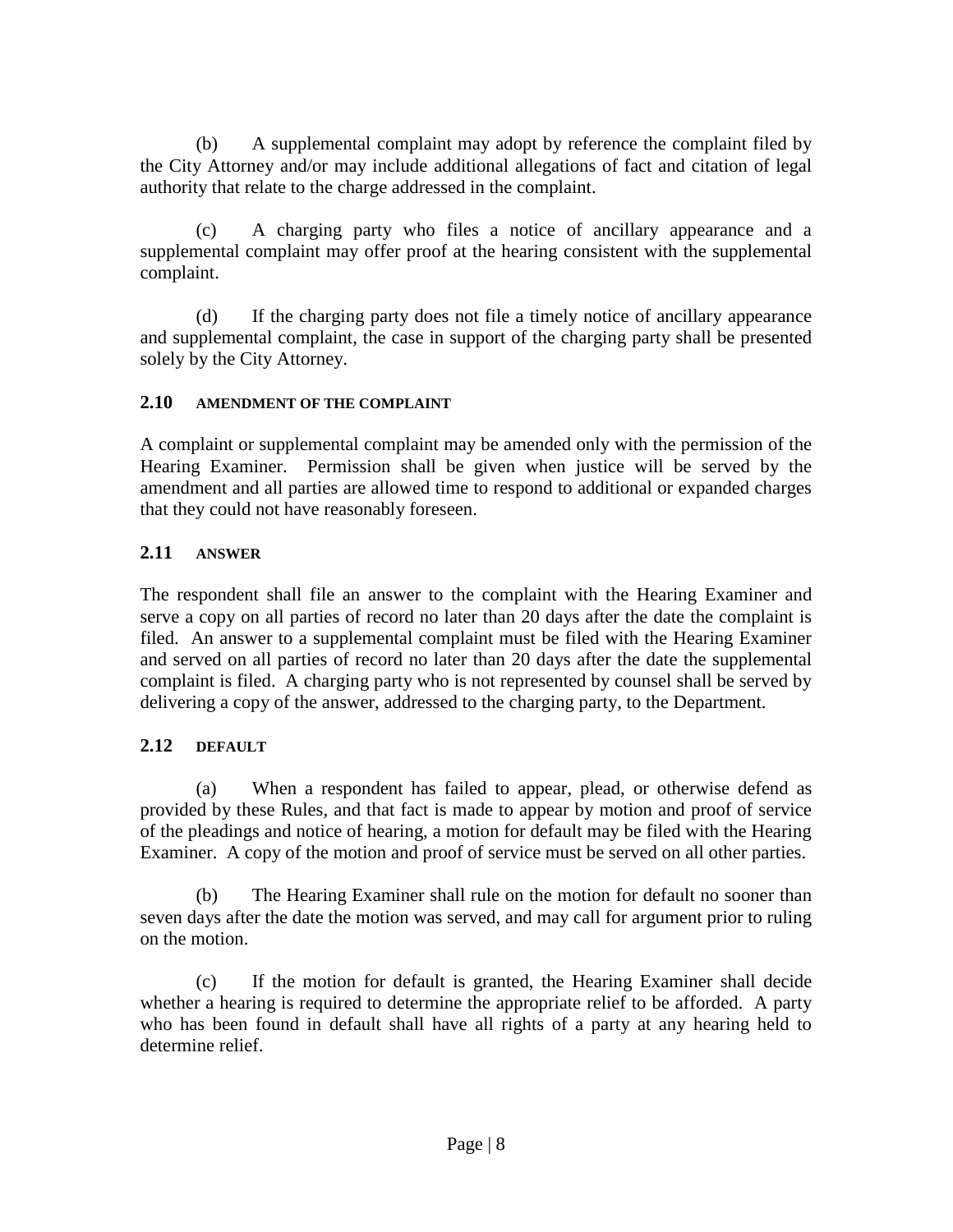(b) A supplemental complaint may adopt by reference the complaint filed by the City Attorney and/or may include additional allegations of fact and citation of legal authority that relate to the charge addressed in the complaint.

(c) A charging party who files a notice of ancillary appearance and a supplemental complaint may offer proof at the hearing consistent with the supplemental complaint.

(d) If the charging party does not file a timely notice of ancillary appearance and supplemental complaint, the case in support of the charging party shall be presented solely by the City Attorney.

# **2.10 AMENDMENT OF THE COMPLAINT**

A complaint or supplemental complaint may be amended only with the permission of the Hearing Examiner. Permission shall be given when justice will be served by the amendment and all parties are allowed time to respond to additional or expanded charges that they could not have reasonably foreseen.

# **2.11 ANSWER**

The respondent shall file an answer to the complaint with the Hearing Examiner and serve a copy on all parties of record no later than 20 days after the date the complaint is filed. An answer to a supplemental complaint must be filed with the Hearing Examiner and served on all parties of record no later than 20 days after the date the supplemental complaint is filed. A charging party who is not represented by counsel shall be served by delivering a copy of the answer, addressed to the charging party, to the Department.

# **2.12 DEFAULT**

(a) When a respondent has failed to appear, plead, or otherwise defend as provided by these Rules, and that fact is made to appear by motion and proof of service of the pleadings and notice of hearing, a motion for default may be filed with the Hearing Examiner. A copy of the motion and proof of service must be served on all other parties.

(b) The Hearing Examiner shall rule on the motion for default no sooner than seven days after the date the motion was served, and may call for argument prior to ruling on the motion.

(c) If the motion for default is granted, the Hearing Examiner shall decide whether a hearing is required to determine the appropriate relief to be afforded. A party who has been found in default shall have all rights of a party at any hearing held to determine relief.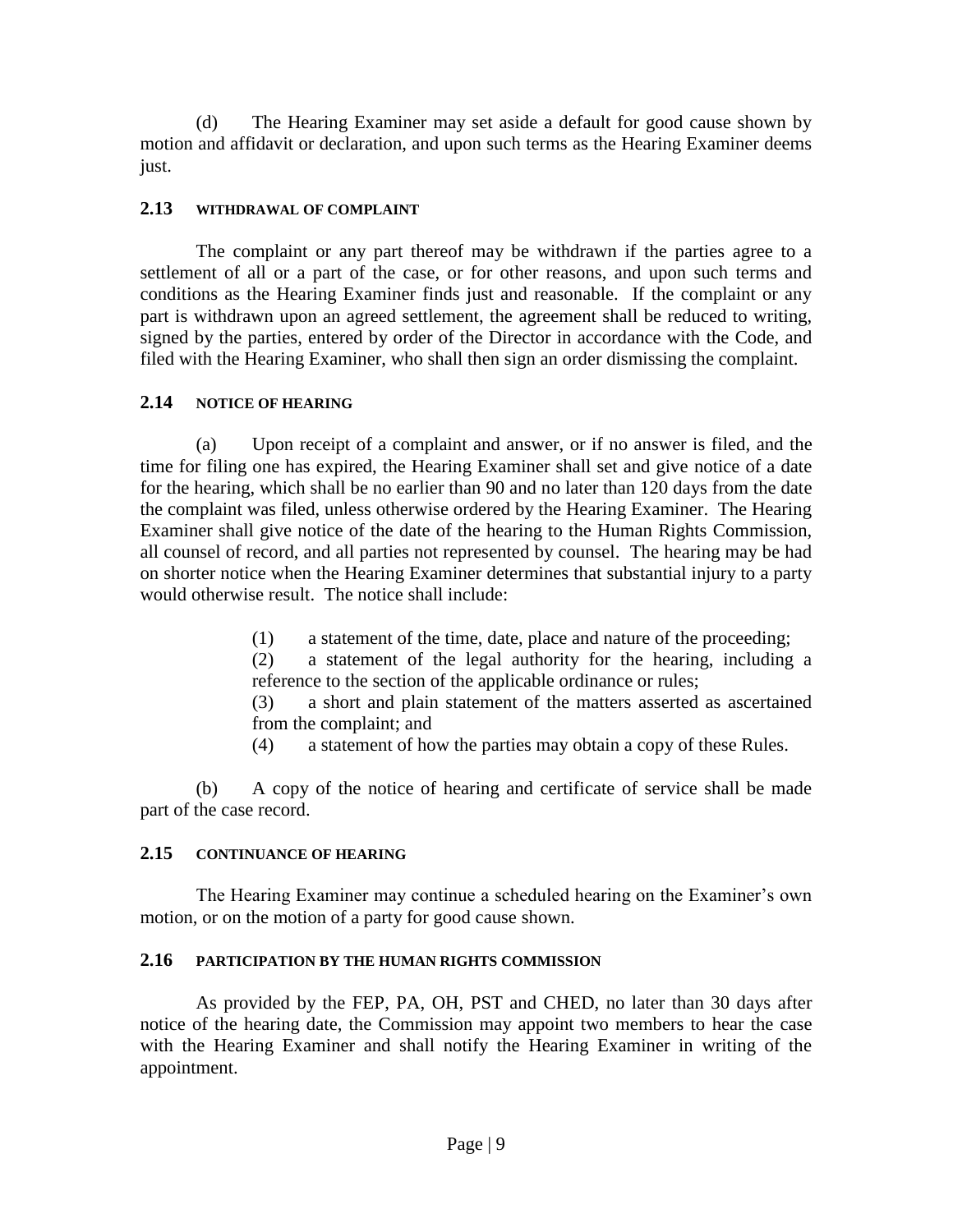(d) The Hearing Examiner may set aside a default for good cause shown by motion and affidavit or declaration, and upon such terms as the Hearing Examiner deems just.

### **2.13 WITHDRAWAL OF COMPLAINT**

The complaint or any part thereof may be withdrawn if the parties agree to a settlement of all or a part of the case, or for other reasons, and upon such terms and conditions as the Hearing Examiner finds just and reasonable. If the complaint or any part is withdrawn upon an agreed settlement, the agreement shall be reduced to writing, signed by the parties, entered by order of the Director in accordance with the Code, and filed with the Hearing Examiner, who shall then sign an order dismissing the complaint.

#### **2.14 NOTICE OF HEARING**

(a) Upon receipt of a complaint and answer, or if no answer is filed, and the time for filing one has expired, the Hearing Examiner shall set and give notice of a date for the hearing, which shall be no earlier than 90 and no later than 120 days from the date the complaint was filed, unless otherwise ordered by the Hearing Examiner. The Hearing Examiner shall give notice of the date of the hearing to the Human Rights Commission, all counsel of record, and all parties not represented by counsel. The hearing may be had on shorter notice when the Hearing Examiner determines that substantial injury to a party would otherwise result. The notice shall include:

(1) a statement of the time, date, place and nature of the proceeding;

(2) a statement of the legal authority for the hearing, including a reference to the section of the applicable ordinance or rules;

(3) a short and plain statement of the matters asserted as ascertained from the complaint; and

(4) a statement of how the parties may obtain a copy of these Rules.

(b) A copy of the notice of hearing and certificate of service shall be made part of the case record.

# **2.15 CONTINUANCE OF HEARING**

The Hearing Examiner may continue a scheduled hearing on the Examiner's own motion, or on the motion of a party for good cause shown.

# **2.16 PARTICIPATION BY THE HUMAN RIGHTS COMMISSION**

As provided by the FEP, PA, OH, PST and CHED, no later than 30 days after notice of the hearing date, the Commission may appoint two members to hear the case with the Hearing Examiner and shall notify the Hearing Examiner in writing of the appointment.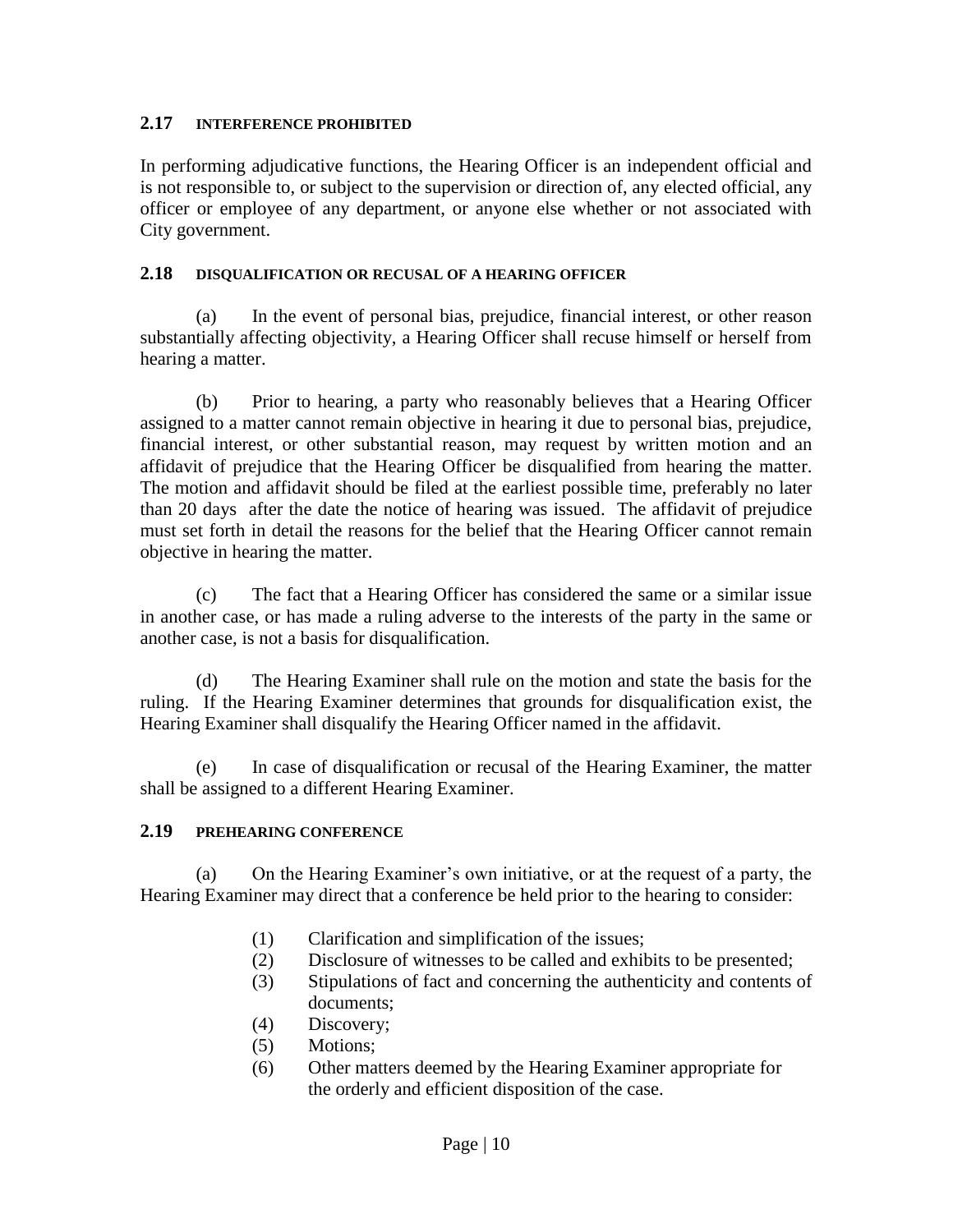#### **2.17 INTERFERENCE PROHIBITED**

In performing adjudicative functions, the Hearing Officer is an independent official and is not responsible to, or subject to the supervision or direction of, any elected official, any officer or employee of any department, or anyone else whether or not associated with City government.

#### **2.18 DISQUALIFICATION OR RECUSAL OF A HEARING OFFICER**

(a) In the event of personal bias, prejudice, financial interest, or other reason substantially affecting objectivity, a Hearing Officer shall recuse himself or herself from hearing a matter.

(b) Prior to hearing, a party who reasonably believes that a Hearing Officer assigned to a matter cannot remain objective in hearing it due to personal bias, prejudice, financial interest, or other substantial reason, may request by written motion and an affidavit of prejudice that the Hearing Officer be disqualified from hearing the matter. The motion and affidavit should be filed at the earliest possible time, preferably no later than 20 days after the date the notice of hearing was issued. The affidavit of prejudice must set forth in detail the reasons for the belief that the Hearing Officer cannot remain objective in hearing the matter.

(c) The fact that a Hearing Officer has considered the same or a similar issue in another case, or has made a ruling adverse to the interests of the party in the same or another case, is not a basis for disqualification.

(d) The Hearing Examiner shall rule on the motion and state the basis for the ruling. If the Hearing Examiner determines that grounds for disqualification exist, the Hearing Examiner shall disqualify the Hearing Officer named in the affidavit.

(e) In case of disqualification or recusal of the Hearing Examiner, the matter shall be assigned to a different Hearing Examiner.

# **2.19 PREHEARING CONFERENCE**

(a) On the Hearing Examiner's own initiative, or at the request of a party, the Hearing Examiner may direct that a conference be held prior to the hearing to consider:

- (1) Clarification and simplification of the issues;
- (2) Disclosure of witnesses to be called and exhibits to be presented;
- (3) Stipulations of fact and concerning the authenticity and contents of documents;
- (4) Discovery;
- (5) Motions;
- (6) Other matters deemed by the Hearing Examiner appropriate for the orderly and efficient disposition of the case.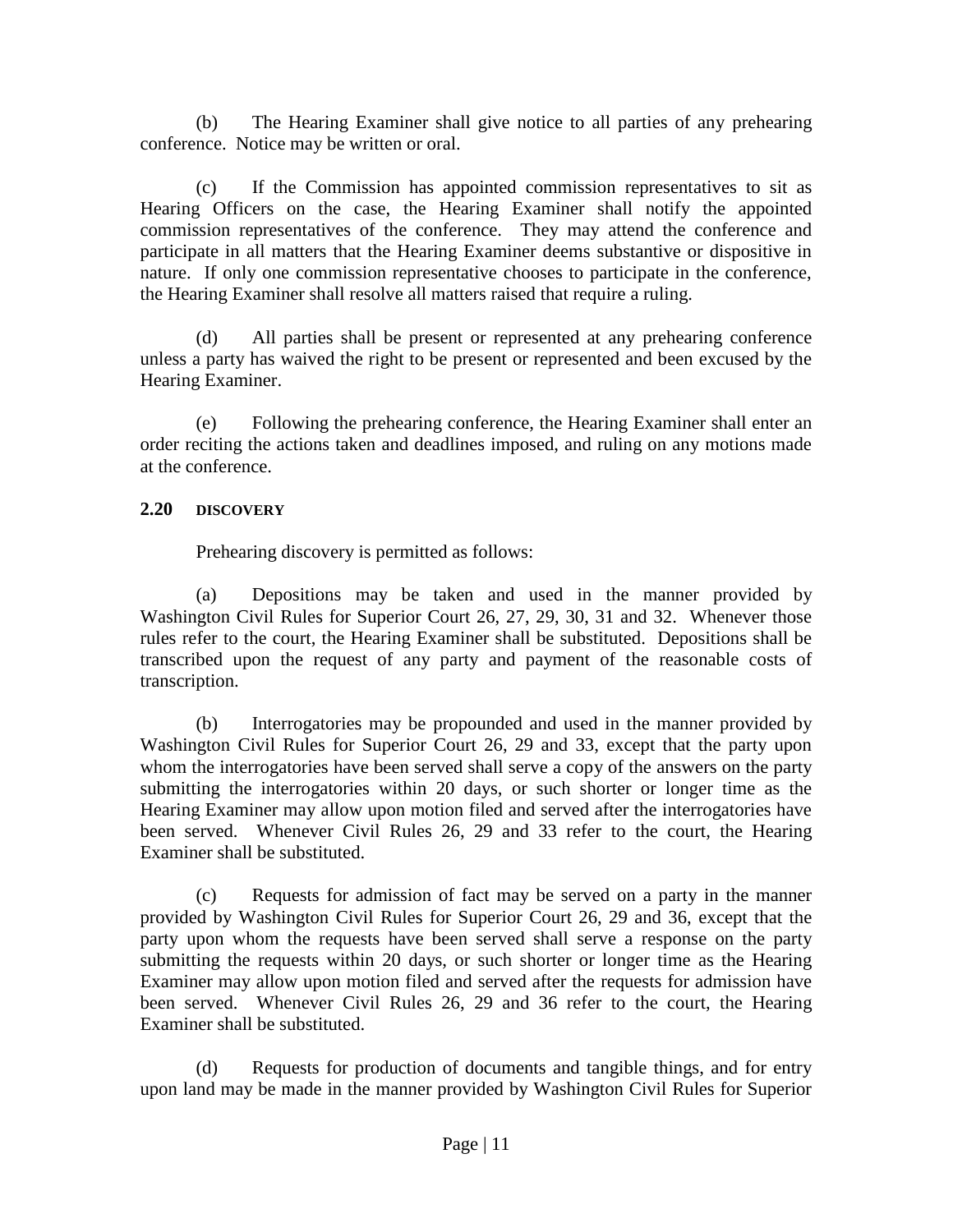(b) The Hearing Examiner shall give notice to all parties of any prehearing conference. Notice may be written or oral.

(c) If the Commission has appointed commission representatives to sit as Hearing Officers on the case, the Hearing Examiner shall notify the appointed commission representatives of the conference. They may attend the conference and participate in all matters that the Hearing Examiner deems substantive or dispositive in nature. If only one commission representative chooses to participate in the conference, the Hearing Examiner shall resolve all matters raised that require a ruling.

(d) All parties shall be present or represented at any prehearing conference unless a party has waived the right to be present or represented and been excused by the Hearing Examiner.

(e) Following the prehearing conference, the Hearing Examiner shall enter an order reciting the actions taken and deadlines imposed, and ruling on any motions made at the conference.

# **2.20 DISCOVERY**

Prehearing discovery is permitted as follows:

(a) Depositions may be taken and used in the manner provided by Washington Civil Rules for Superior Court 26, 27, 29, 30, 31 and 32. Whenever those rules refer to the court, the Hearing Examiner shall be substituted. Depositions shall be transcribed upon the request of any party and payment of the reasonable costs of transcription.

(b) Interrogatories may be propounded and used in the manner provided by Washington Civil Rules for Superior Court 26, 29 and 33, except that the party upon whom the interrogatories have been served shall serve a copy of the answers on the party submitting the interrogatories within 20 days, or such shorter or longer time as the Hearing Examiner may allow upon motion filed and served after the interrogatories have been served. Whenever Civil Rules 26, 29 and 33 refer to the court, the Hearing Examiner shall be substituted.

(c) Requests for admission of fact may be served on a party in the manner provided by Washington Civil Rules for Superior Court 26, 29 and 36, except that the party upon whom the requests have been served shall serve a response on the party submitting the requests within 20 days, or such shorter or longer time as the Hearing Examiner may allow upon motion filed and served after the requests for admission have been served. Whenever Civil Rules 26, 29 and 36 refer to the court, the Hearing Examiner shall be substituted.

(d) Requests for production of documents and tangible things, and for entry upon land may be made in the manner provided by Washington Civil Rules for Superior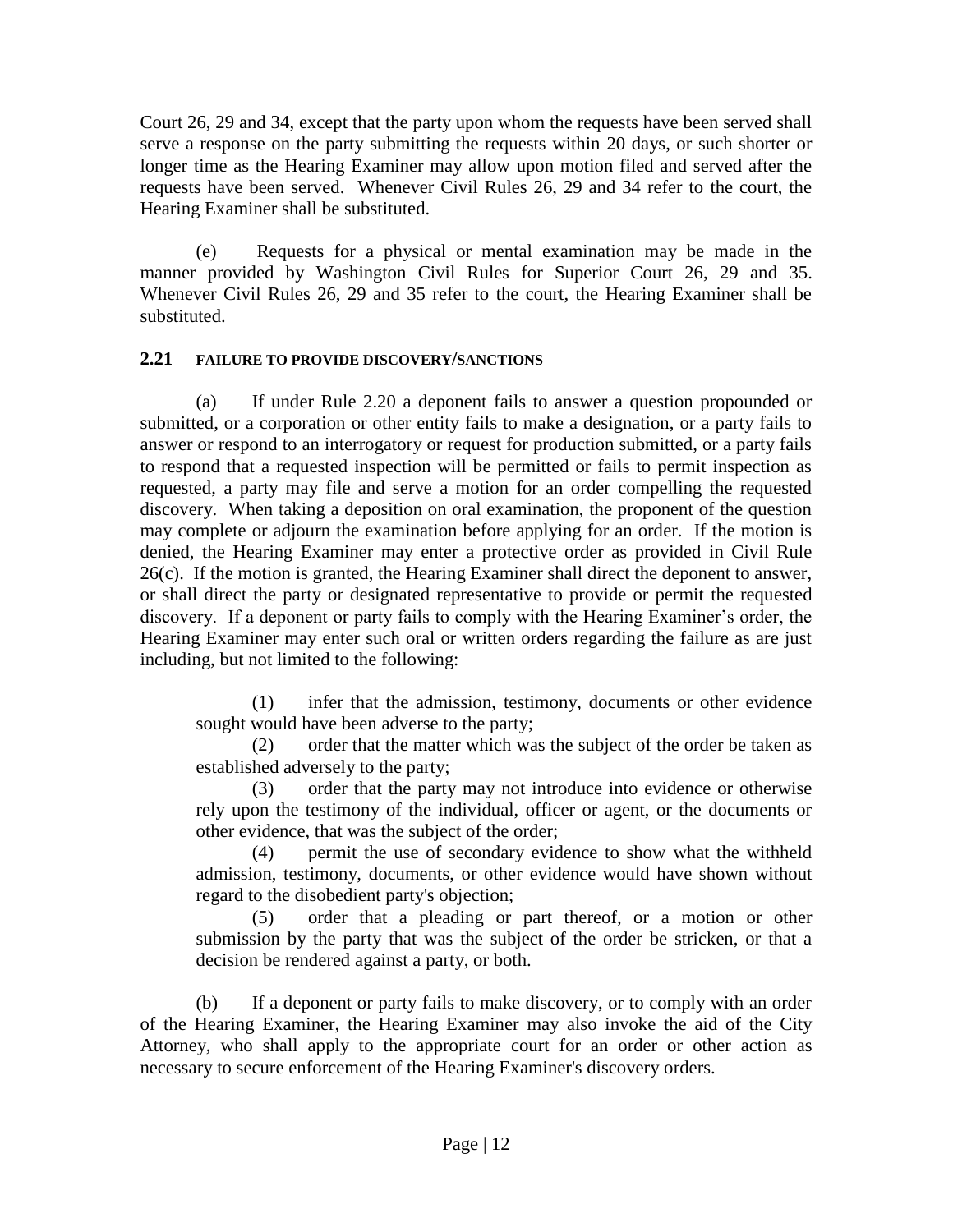Court 26, 29 and 34, except that the party upon whom the requests have been served shall serve a response on the party submitting the requests within 20 days, or such shorter or longer time as the Hearing Examiner may allow upon motion filed and served after the requests have been served. Whenever Civil Rules 26, 29 and 34 refer to the court, the Hearing Examiner shall be substituted.

(e) Requests for a physical or mental examination may be made in the manner provided by Washington Civil Rules for Superior Court 26, 29 and 35. Whenever Civil Rules 26, 29 and 35 refer to the court, the Hearing Examiner shall be substituted.

# **2.21 FAILURE TO PROVIDE DISCOVERY/SANCTIONS**

(a) If under Rule 2.20 a deponent fails to answer a question propounded or submitted, or a corporation or other entity fails to make a designation, or a party fails to answer or respond to an interrogatory or request for production submitted, or a party fails to respond that a requested inspection will be permitted or fails to permit inspection as requested, a party may file and serve a motion for an order compelling the requested discovery. When taking a deposition on oral examination, the proponent of the question may complete or adjourn the examination before applying for an order. If the motion is denied, the Hearing Examiner may enter a protective order as provided in Civil Rule 26(c). If the motion is granted, the Hearing Examiner shall direct the deponent to answer, or shall direct the party or designated representative to provide or permit the requested discovery. If a deponent or party fails to comply with the Hearing Examiner's order, the Hearing Examiner may enter such oral or written orders regarding the failure as are just including, but not limited to the following:

(1) infer that the admission, testimony, documents or other evidence sought would have been adverse to the party;

(2) order that the matter which was the subject of the order be taken as established adversely to the party;

(3) order that the party may not introduce into evidence or otherwise rely upon the testimony of the individual, officer or agent, or the documents or other evidence, that was the subject of the order;

(4) permit the use of secondary evidence to show what the withheld admission, testimony, documents, or other evidence would have shown without regard to the disobedient party's objection;

(5) order that a pleading or part thereof, or a motion or other submission by the party that was the subject of the order be stricken, or that a decision be rendered against a party, or both.

(b) If a deponent or party fails to make discovery, or to comply with an order of the Hearing Examiner, the Hearing Examiner may also invoke the aid of the City Attorney, who shall apply to the appropriate court for an order or other action as necessary to secure enforcement of the Hearing Examiner's discovery orders.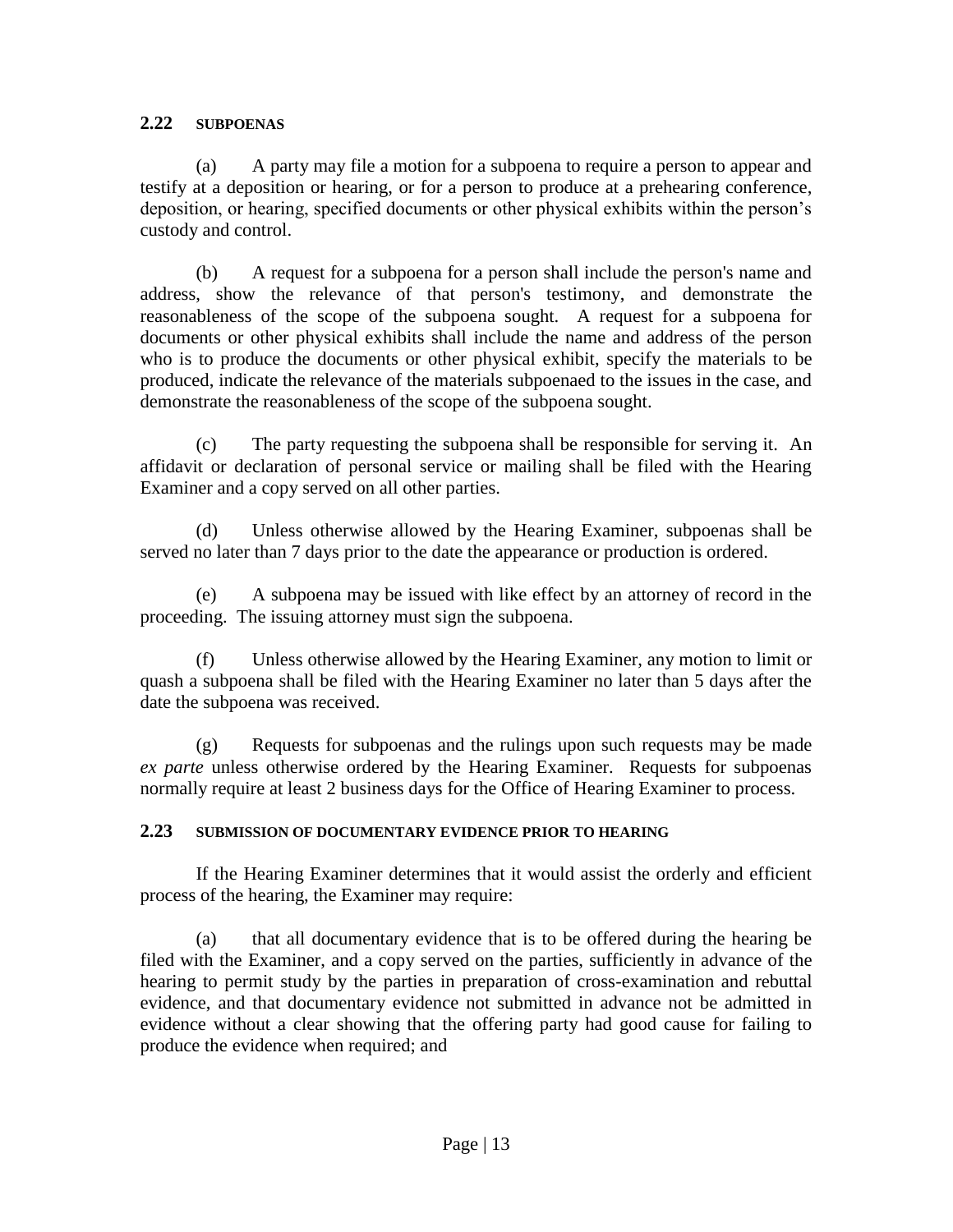#### **2.22 SUBPOENAS**

(a) A party may file a motion for a subpoena to require a person to appear and testify at a deposition or hearing, or for a person to produce at a prehearing conference, deposition, or hearing, specified documents or other physical exhibits within the person's custody and control.

(b) A request for a subpoena for a person shall include the person's name and address, show the relevance of that person's testimony, and demonstrate the reasonableness of the scope of the subpoena sought. A request for a subpoena for documents or other physical exhibits shall include the name and address of the person who is to produce the documents or other physical exhibit, specify the materials to be produced, indicate the relevance of the materials subpoenaed to the issues in the case, and demonstrate the reasonableness of the scope of the subpoena sought.

(c) The party requesting the subpoena shall be responsible for serving it. An affidavit or declaration of personal service or mailing shall be filed with the Hearing Examiner and a copy served on all other parties.

(d) Unless otherwise allowed by the Hearing Examiner, subpoenas shall be served no later than 7 days prior to the date the appearance or production is ordered.

(e) A subpoena may be issued with like effect by an attorney of record in the proceeding. The issuing attorney must sign the subpoena.

(f) Unless otherwise allowed by the Hearing Examiner, any motion to limit or quash a subpoena shall be filed with the Hearing Examiner no later than 5 days after the date the subpoena was received.

(g) Requests for subpoenas and the rulings upon such requests may be made *ex parte* unless otherwise ordered by the Hearing Examiner. Requests for subpoenas normally require at least 2 business days for the Office of Hearing Examiner to process.

# **2.23 SUBMISSION OF DOCUMENTARY EVIDENCE PRIOR TO HEARING**

If the Hearing Examiner determines that it would assist the orderly and efficient process of the hearing, the Examiner may require:

(a) that all documentary evidence that is to be offered during the hearing be filed with the Examiner, and a copy served on the parties, sufficiently in advance of the hearing to permit study by the parties in preparation of cross-examination and rebuttal evidence, and that documentary evidence not submitted in advance not be admitted in evidence without a clear showing that the offering party had good cause for failing to produce the evidence when required; and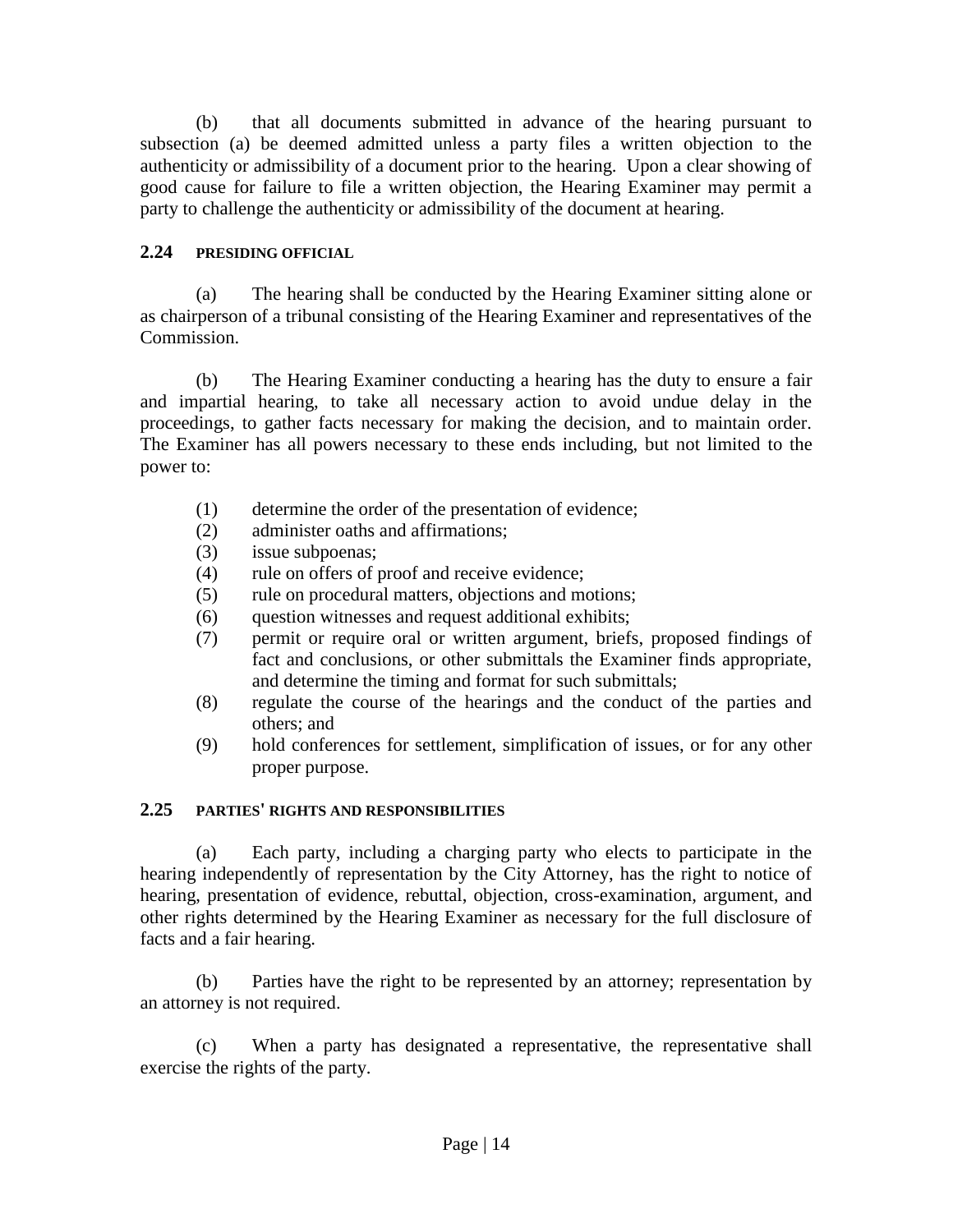(b) that all documents submitted in advance of the hearing pursuant to subsection (a) be deemed admitted unless a party files a written objection to the authenticity or admissibility of a document prior to the hearing. Upon a clear showing of good cause for failure to file a written objection, the Hearing Examiner may permit a party to challenge the authenticity or admissibility of the document at hearing.

# **2.24 PRESIDING OFFICIAL**

(a) The hearing shall be conducted by the Hearing Examiner sitting alone or as chairperson of a tribunal consisting of the Hearing Examiner and representatives of the Commission.

(b) The Hearing Examiner conducting a hearing has the duty to ensure a fair and impartial hearing, to take all necessary action to avoid undue delay in the proceedings, to gather facts necessary for making the decision, and to maintain order. The Examiner has all powers necessary to these ends including, but not limited to the power to:

- (1) determine the order of the presentation of evidence;
- (2) administer oaths and affirmations;
- (3) issue subpoenas;
- (4) rule on offers of proof and receive evidence;
- (5) rule on procedural matters, objections and motions;
- (6) question witnesses and request additional exhibits;
- (7) permit or require oral or written argument, briefs, proposed findings of fact and conclusions, or other submittals the Examiner finds appropriate, and determine the timing and format for such submittals;
- (8) regulate the course of the hearings and the conduct of the parties and others; and
- (9) hold conferences for settlement, simplification of issues, or for any other proper purpose.

# **2.25 PARTIES' RIGHTS AND RESPONSIBILITIES**

(a) Each party, including a charging party who elects to participate in the hearing independently of representation by the City Attorney, has the right to notice of hearing, presentation of evidence, rebuttal, objection, cross-examination, argument, and other rights determined by the Hearing Examiner as necessary for the full disclosure of facts and a fair hearing.

(b) Parties have the right to be represented by an attorney; representation by an attorney is not required.

(c) When a party has designated a representative, the representative shall exercise the rights of the party.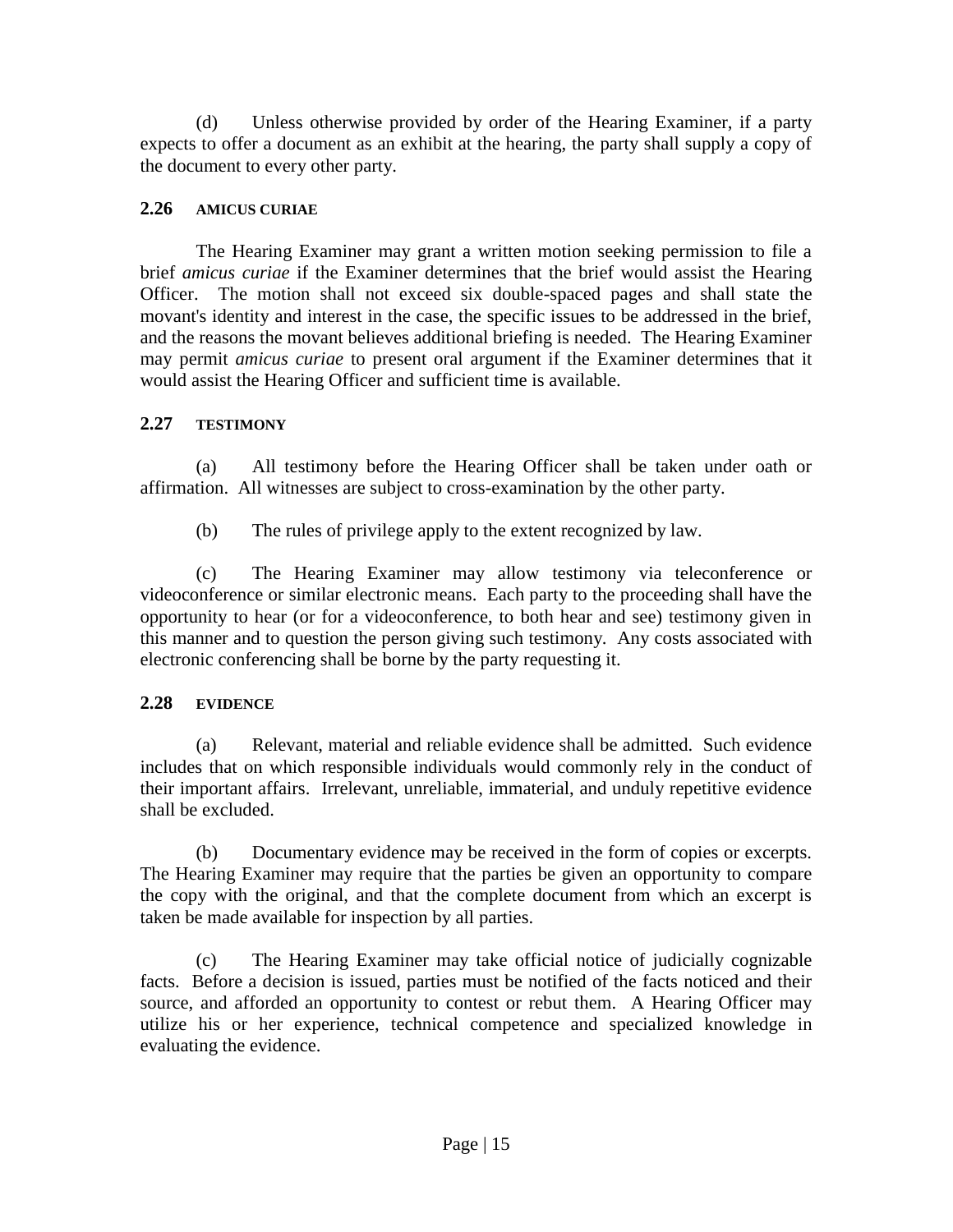(d) Unless otherwise provided by order of the Hearing Examiner, if a party expects to offer a document as an exhibit at the hearing, the party shall supply a copy of the document to every other party.

# **2.26 AMICUS CURIAE**

The Hearing Examiner may grant a written motion seeking permission to file a brief *amicus curiae* if the Examiner determines that the brief would assist the Hearing Officer. The motion shall not exceed six double-spaced pages and shall state the movant's identity and interest in the case, the specific issues to be addressed in the brief, and the reasons the movant believes additional briefing is needed. The Hearing Examiner may permit *amicus curiae* to present oral argument if the Examiner determines that it would assist the Hearing Officer and sufficient time is available.

# **2.27 TESTIMONY**

(a) All testimony before the Hearing Officer shall be taken under oath or affirmation. All witnesses are subject to cross-examination by the other party.

(b) The rules of privilege apply to the extent recognized by law.

(c) The Hearing Examiner may allow testimony via teleconference or videoconference or similar electronic means. Each party to the proceeding shall have the opportunity to hear (or for a videoconference, to both hear and see) testimony given in this manner and to question the person giving such testimony. Any costs associated with electronic conferencing shall be borne by the party requesting it.

# **2.28 EVIDENCE**

(a) Relevant, material and reliable evidence shall be admitted. Such evidence includes that on which responsible individuals would commonly rely in the conduct of their important affairs. Irrelevant, unreliable, immaterial, and unduly repetitive evidence shall be excluded.

(b) Documentary evidence may be received in the form of copies or excerpts. The Hearing Examiner may require that the parties be given an opportunity to compare the copy with the original, and that the complete document from which an excerpt is taken be made available for inspection by all parties.

(c) The Hearing Examiner may take official notice of judicially cognizable facts. Before a decision is issued, parties must be notified of the facts noticed and their source, and afforded an opportunity to contest or rebut them. A Hearing Officer may utilize his or her experience, technical competence and specialized knowledge in evaluating the evidence.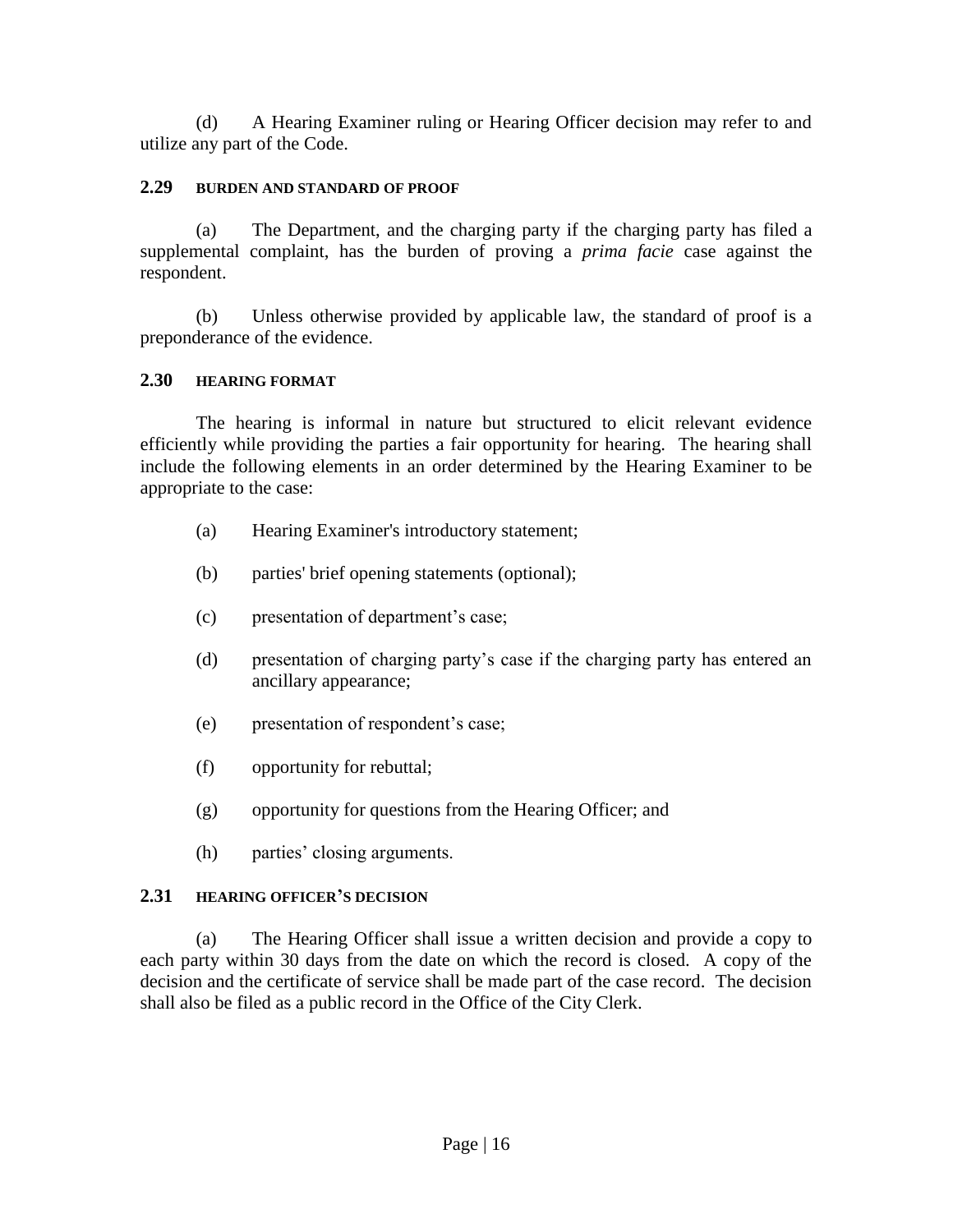(d) A Hearing Examiner ruling or Hearing Officer decision may refer to and utilize any part of the Code.

#### **2.29 BURDEN AND STANDARD OF PROOF**

(a) The Department, and the charging party if the charging party has filed a supplemental complaint, has the burden of proving a *prima facie* case against the respondent.

(b) Unless otherwise provided by applicable law, the standard of proof is a preponderance of the evidence.

#### **2.30 HEARING FORMAT**

The hearing is informal in nature but structured to elicit relevant evidence efficiently while providing the parties a fair opportunity for hearing. The hearing shall include the following elements in an order determined by the Hearing Examiner to be appropriate to the case:

- (a) Hearing Examiner's introductory statement;
- (b) parties' brief opening statements (optional);
- (c) presentation of department's case;
- (d) presentation of charging party's case if the charging party has entered an ancillary appearance;
- (e) presentation of respondent's case;
- (f) opportunity for rebuttal;
- (g) opportunity for questions from the Hearing Officer; and
- (h) parties' closing arguments.

# **2.31 HEARING OFFICER'S DECISION**

(a) The Hearing Officer shall issue a written decision and provide a copy to each party within 30 days from the date on which the record is closed. A copy of the decision and the certificate of service shall be made part of the case record. The decision shall also be filed as a public record in the Office of the City Clerk.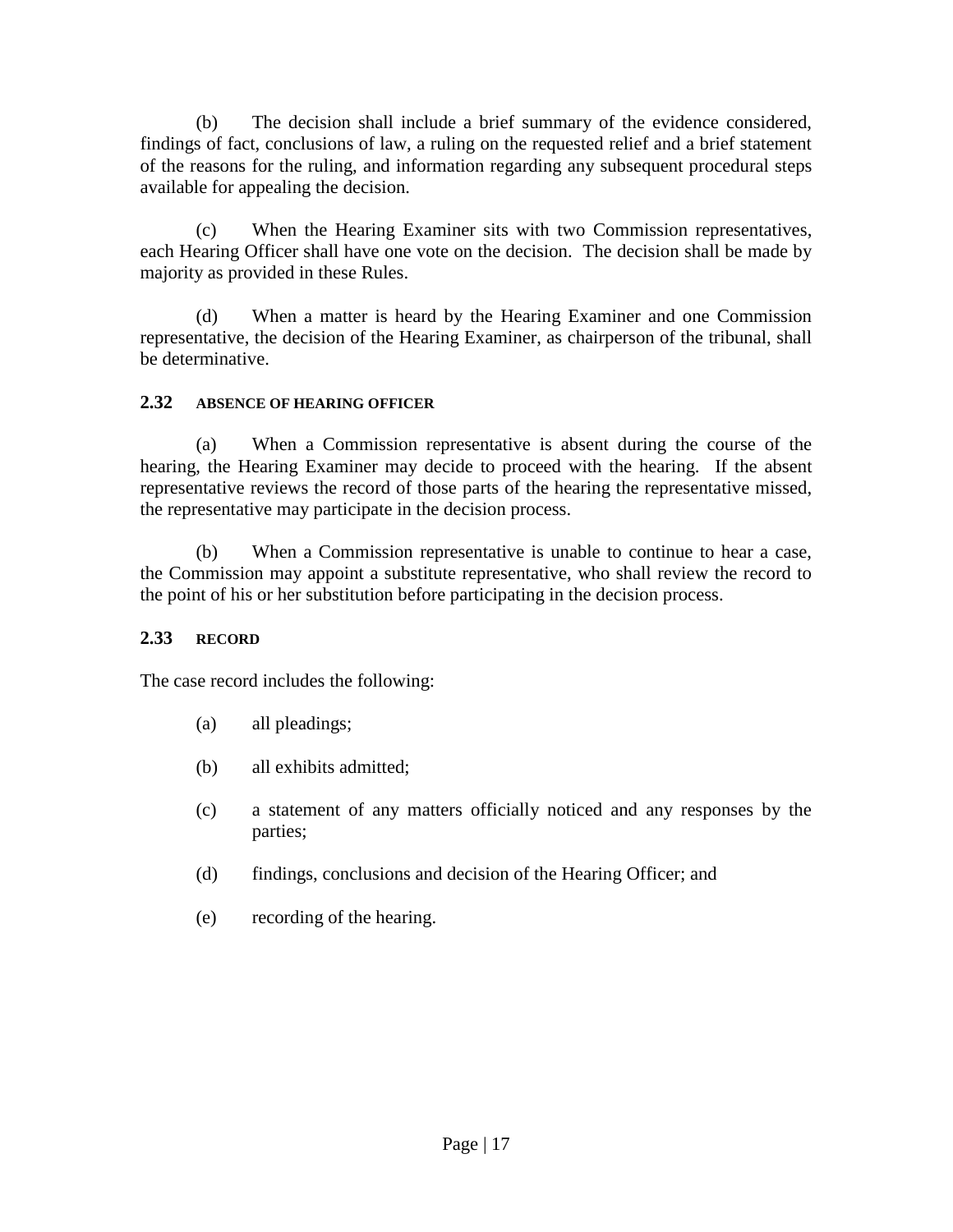(b) The decision shall include a brief summary of the evidence considered, findings of fact, conclusions of law, a ruling on the requested relief and a brief statement of the reasons for the ruling, and information regarding any subsequent procedural steps available for appealing the decision.

(c) When the Hearing Examiner sits with two Commission representatives, each Hearing Officer shall have one vote on the decision. The decision shall be made by majority as provided in these Rules.

(d) When a matter is heard by the Hearing Examiner and one Commission representative, the decision of the Hearing Examiner, as chairperson of the tribunal, shall be determinative.

# **2.32 ABSENCE OF HEARING OFFICER**

(a) When a Commission representative is absent during the course of the hearing, the Hearing Examiner may decide to proceed with the hearing. If the absent representative reviews the record of those parts of the hearing the representative missed, the representative may participate in the decision process.

(b) When a Commission representative is unable to continue to hear a case, the Commission may appoint a substitute representative, who shall review the record to the point of his or her substitution before participating in the decision process.

# **2.33 RECORD**

The case record includes the following:

- (a) all pleadings;
- (b) all exhibits admitted;
- (c) a statement of any matters officially noticed and any responses by the parties;
- (d) findings, conclusions and decision of the Hearing Officer; and
- (e) recording of the hearing.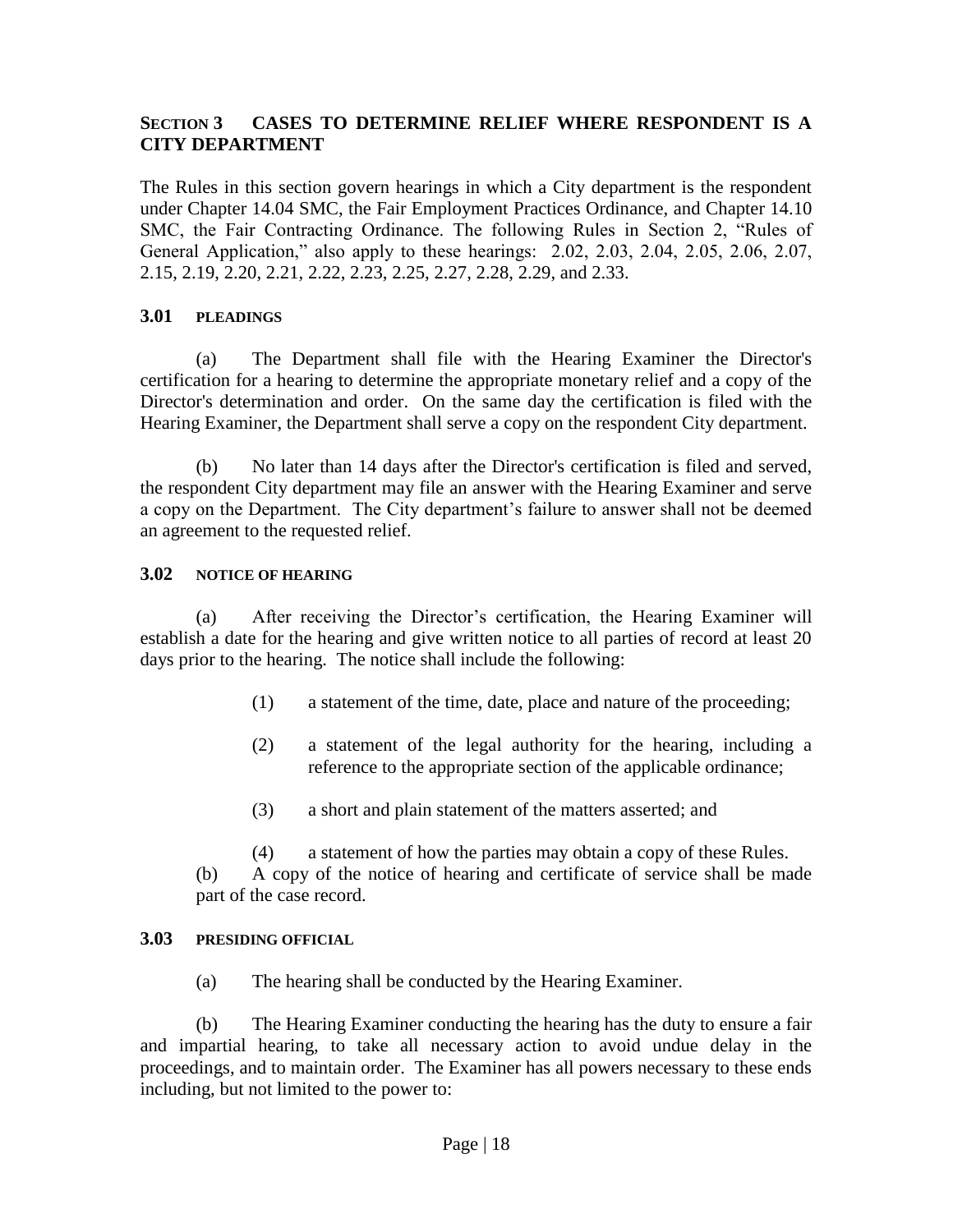# **SECTION 3 CASES TO DETERMINE RELIEF WHERE RESPONDENT IS A CITY DEPARTMENT**

The Rules in this section govern hearings in which a City department is the respondent under Chapter 14.04 SMC, the Fair Employment Practices Ordinance, and Chapter 14.10 SMC, the Fair Contracting Ordinance. The following Rules in Section 2, "Rules of General Application," also apply to these hearings: 2.02, 2.03, 2.04, 2.05, 2.06, 2.07, 2.15, 2.19, 2.20, 2.21, 2.22, 2.23, 2.25, 2.27, 2.28, 2.29, and 2.33.

# **3.01 PLEADINGS**

(a) The Department shall file with the Hearing Examiner the Director's certification for a hearing to determine the appropriate monetary relief and a copy of the Director's determination and order. On the same day the certification is filed with the Hearing Examiner, the Department shall serve a copy on the respondent City department.

(b) No later than 14 days after the Director's certification is filed and served, the respondent City department may file an answer with the Hearing Examiner and serve a copy on the Department. The City department's failure to answer shall not be deemed an agreement to the requested relief.

# **3.02 NOTICE OF HEARING**

(a) After receiving the Director's certification, the Hearing Examiner will establish a date for the hearing and give written notice to all parties of record at least 20 days prior to the hearing. The notice shall include the following:

- (1) a statement of the time, date, place and nature of the proceeding;
- (2) a statement of the legal authority for the hearing, including a reference to the appropriate section of the applicable ordinance;
- (3) a short and plain statement of the matters asserted; and

(4) a statement of how the parties may obtain a copy of these Rules.

(b) A copy of the notice of hearing and certificate of service shall be made part of the case record.

#### **3.03 PRESIDING OFFICIAL**

(a) The hearing shall be conducted by the Hearing Examiner.

(b) The Hearing Examiner conducting the hearing has the duty to ensure a fair and impartial hearing, to take all necessary action to avoid undue delay in the proceedings, and to maintain order. The Examiner has all powers necessary to these ends including, but not limited to the power to: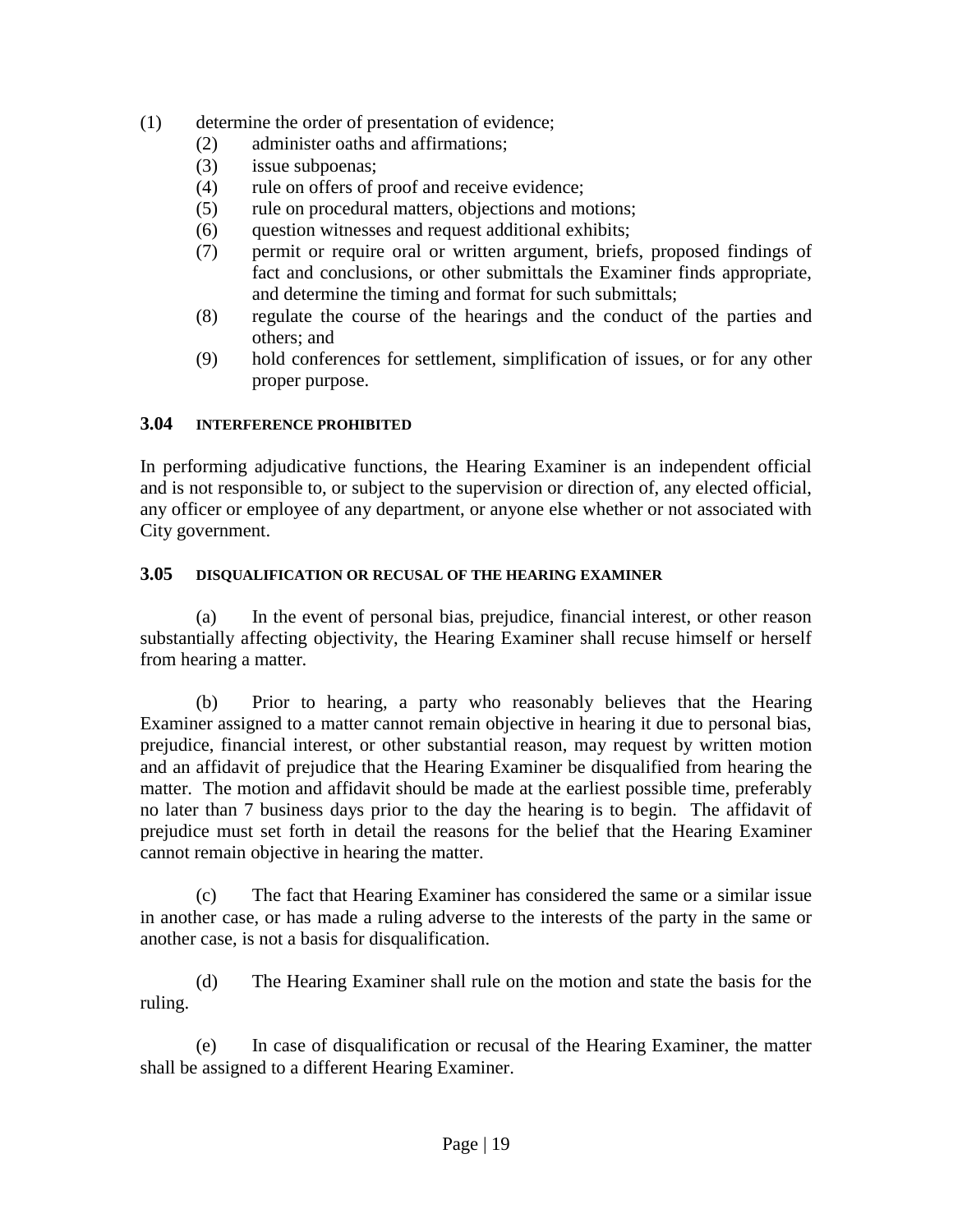- (1) determine the order of presentation of evidence;
	- (2) administer oaths and affirmations;
	- (3) issue subpoenas;
	- (4) rule on offers of proof and receive evidence;
	- (5) rule on procedural matters, objections and motions;
	- (6) question witnesses and request additional exhibits;
	- (7) permit or require oral or written argument, briefs, proposed findings of fact and conclusions, or other submittals the Examiner finds appropriate, and determine the timing and format for such submittals;
	- (8) regulate the course of the hearings and the conduct of the parties and others; and
	- (9) hold conferences for settlement, simplification of issues, or for any other proper purpose.

# **3.04 INTERFERENCE PROHIBITED**

In performing adjudicative functions, the Hearing Examiner is an independent official and is not responsible to, or subject to the supervision or direction of, any elected official, any officer or employee of any department, or anyone else whether or not associated with City government.

#### **3.05 DISQUALIFICATION OR RECUSAL OF THE HEARING EXAMINER**

(a) In the event of personal bias, prejudice, financial interest, or other reason substantially affecting objectivity, the Hearing Examiner shall recuse himself or herself from hearing a matter.

(b) Prior to hearing, a party who reasonably believes that the Hearing Examiner assigned to a matter cannot remain objective in hearing it due to personal bias, prejudice, financial interest, or other substantial reason, may request by written motion and an affidavit of prejudice that the Hearing Examiner be disqualified from hearing the matter. The motion and affidavit should be made at the earliest possible time, preferably no later than 7 business days prior to the day the hearing is to begin. The affidavit of prejudice must set forth in detail the reasons for the belief that the Hearing Examiner cannot remain objective in hearing the matter.

(c) The fact that Hearing Examiner has considered the same or a similar issue in another case, or has made a ruling adverse to the interests of the party in the same or another case, is not a basis for disqualification.

(d) The Hearing Examiner shall rule on the motion and state the basis for the ruling.

(e) In case of disqualification or recusal of the Hearing Examiner, the matter shall be assigned to a different Hearing Examiner.